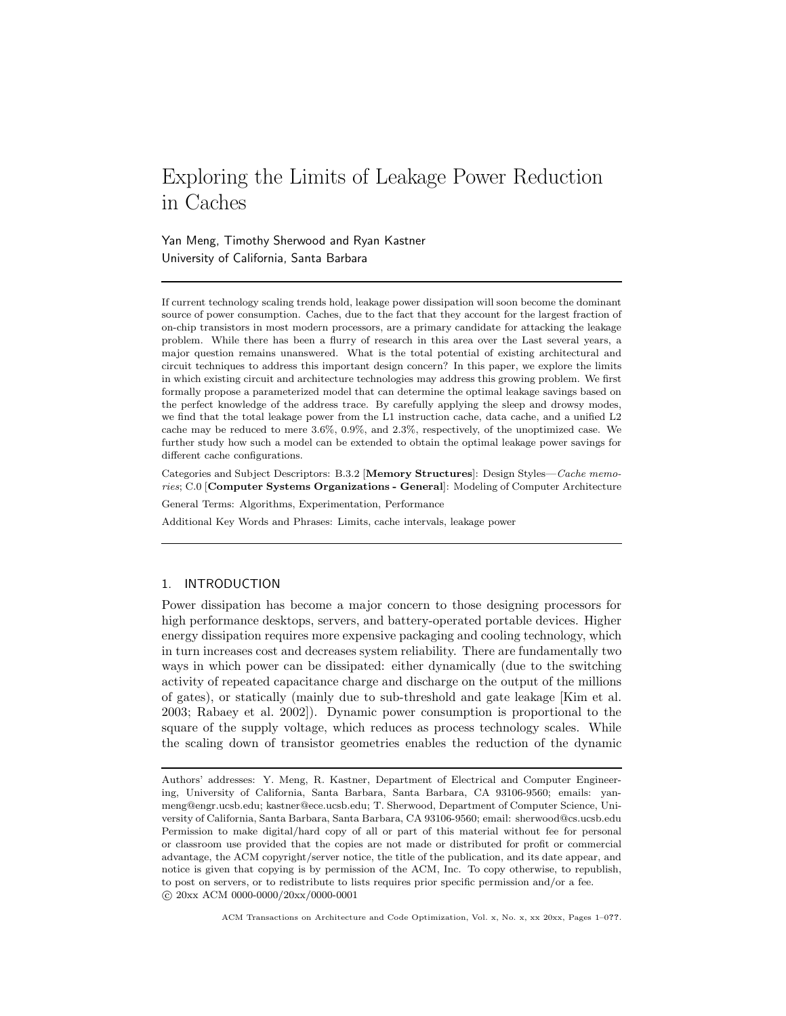# Exploring the Limits of Leakage Power Reduction in Caches

Yan Meng, Timothy Sherwood and Ryan Kastner University of California, Santa Barbara

If current technology scaling trends hold, leakage power dissipation will soon become the dominant source of power consumption. Caches, due to the fact that they account for the largest fraction of on-chip transistors in most modern processors, are a primary candidate for attacking the leakage problem. While there has been a flurry of research in this area over the Last several years, a major question remains unanswered. What is the total potential of existing architectural and circuit techniques to address this important design concern? In this paper, we explore the limits in which existing circuit and architecture technologies may address this growing problem. We first formally propose a parameterized model that can determine the optimal leakage savings based on the perfect knowledge of the address trace. By carefully applying the sleep and drowsy modes, we find that the total leakage power from the L1 instruction cache, data cache, and a unified L2 cache may be reduced to mere 3.6%, 0.9%, and 2.3%, respectively, of the unoptimized case. We further study how such a model can be extended to obtain the optimal leakage power savings for different cache configurations.

Categories and Subject Descriptors: B.3.2 [Memory Structures]: Design Styles—Cache memories; C.0 [Computer Systems Organizations - General]: Modeling of Computer Architecture

General Terms: Algorithms, Experimentation, Performance

Additional Key Words and Phrases: Limits, cache intervals, leakage power

# 1. INTRODUCTION

Power dissipation has become a major concern to those designing processors for high performance desktops, servers, and battery-operated portable devices. Higher energy dissipation requires more expensive packaging and cooling technology, which in turn increases cost and decreases system reliability. There are fundamentally two ways in which power can be dissipated: either dynamically (due to the switching activity of repeated capacitance charge and discharge on the output of the millions of gates), or statically (mainly due to sub-threshold and gate leakage [Kim et al. 2003; Rabaey et al. 2002]). Dynamic power consumption is proportional to the square of the supply voltage, which reduces as process technology scales. While the scaling down of transistor geometries enables the reduction of the dynamic

Authors' addresses: Y. Meng, R. Kastner, Department of Electrical and Computer Engineering, University of California, Santa Barbara, Santa Barbara, CA 93106-9560; emails: yanmeng@engr.ucsb.edu; kastner@ece.ucsb.edu; T. Sherwood, Department of Computer Science, University of California, Santa Barbara, Santa Barbara, CA 93106-9560; email: sherwood@cs.ucsb.edu Permission to make digital/hard copy of all or part of this material without fee for personal or classroom use provided that the copies are not made or distributed for profit or commercial advantage, the ACM copyright/server notice, the title of the publication, and its date appear, and notice is given that copying is by permission of the ACM, Inc. To copy otherwise, to republish, to post on servers, or to redistribute to lists requires prior specific permission and/or a fee. c 20xx ACM 0000-0000/20xx/0000-0001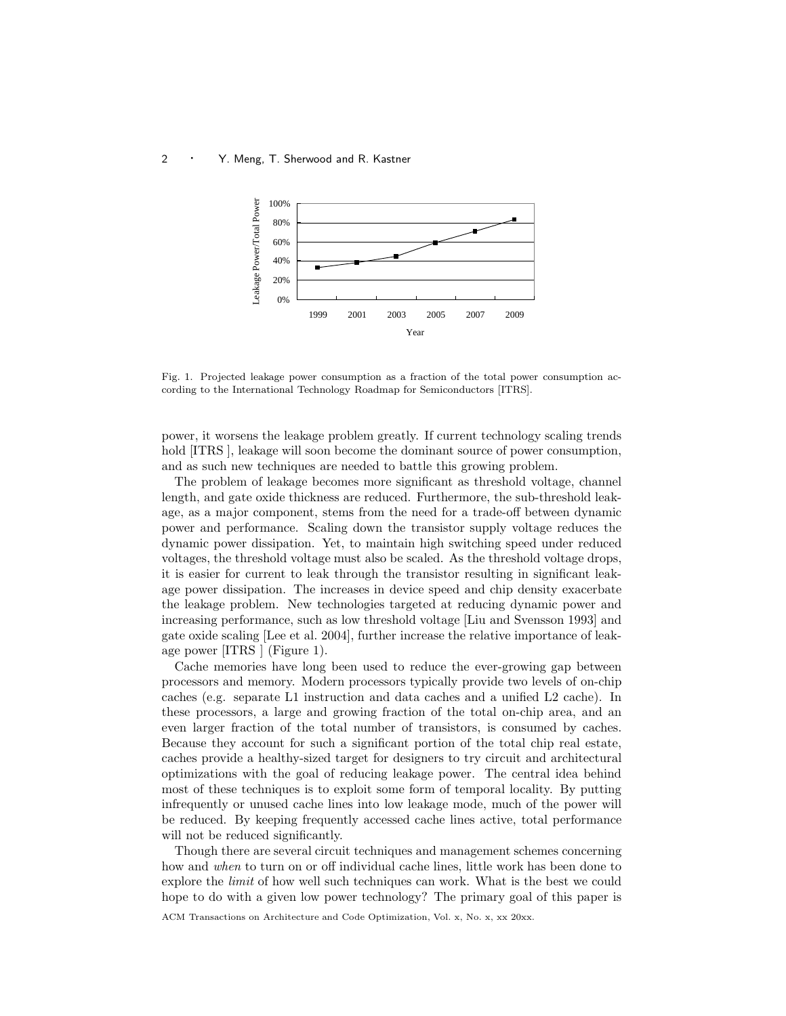

Fig. 1. Projected leakage power consumption as a fraction of the total power consumption according to the International Technology Roadmap for Semiconductors [ITRS].

power, it worsens the leakage problem greatly. If current technology scaling trends hold [ITRS], leakage will soon become the dominant source of power consumption, and as such new techniques are needed to battle this growing problem.

The problem of leakage becomes more significant as threshold voltage, channel length, and gate oxide thickness are reduced. Furthermore, the sub-threshold leakage, as a major component, stems from the need for a trade-off between dynamic power and performance. Scaling down the transistor supply voltage reduces the dynamic power dissipation. Yet, to maintain high switching speed under reduced voltages, the threshold voltage must also be scaled. As the threshold voltage drops, it is easier for current to leak through the transistor resulting in significant leakage power dissipation. The increases in device speed and chip density exacerbate the leakage problem. New technologies targeted at reducing dynamic power and increasing performance, such as low threshold voltage [Liu and Svensson 1993] and gate oxide scaling [Lee et al. 2004], further increase the relative importance of leakage power [ITRS ] (Figure 1).

Cache memories have long been used to reduce the ever-growing gap between processors and memory. Modern processors typically provide two levels of on-chip caches (e.g. separate L1 instruction and data caches and a unified L2 cache). In these processors, a large and growing fraction of the total on-chip area, and an even larger fraction of the total number of transistors, is consumed by caches. Because they account for such a significant portion of the total chip real estate, caches provide a healthy-sized target for designers to try circuit and architectural optimizations with the goal of reducing leakage power. The central idea behind most of these techniques is to exploit some form of temporal locality. By putting infrequently or unused cache lines into low leakage mode, much of the power will be reduced. By keeping frequently accessed cache lines active, total performance will not be reduced significantly.

Though there are several circuit techniques and management schemes concerning how and when to turn on or off individual cache lines, little work has been done to explore the *limit* of how well such techniques can work. What is the best we could hope to do with a given low power technology? The primary goal of this paper is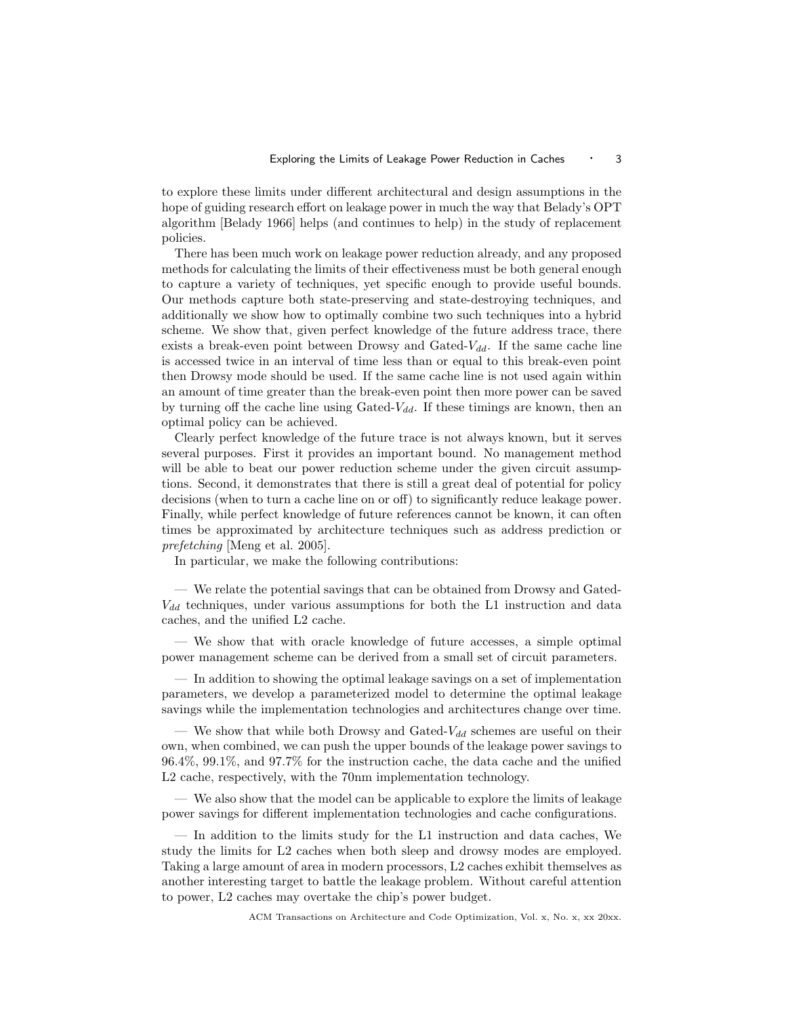to explore these limits under different architectural and design assumptions in the hope of guiding research effort on leakage power in much the way that Belady's OPT algorithm [Belady 1966] helps (and continues to help) in the study of replacement policies.

There has been much work on leakage power reduction already, and any proposed methods for calculating the limits of their effectiveness must be both general enough to capture a variety of techniques, yet specific enough to provide useful bounds. Our methods capture both state-preserving and state-destroying techniques, and additionally we show how to optimally combine two such techniques into a hybrid scheme. We show that, given perfect knowledge of the future address trace, there exists a break-even point between Drowsy and Gated- $V_{dd}$ . If the same cache line is accessed twice in an interval of time less than or equal to this break-even point then Drowsy mode should be used. If the same cache line is not used again within an amount of time greater than the break-even point then more power can be saved by turning off the cache line using Gated- $V_{dd}$ . If these timings are known, then an optimal policy can be achieved.

Clearly perfect knowledge of the future trace is not always known, but it serves several purposes. First it provides an important bound. No management method will be able to beat our power reduction scheme under the given circuit assumptions. Second, it demonstrates that there is still a great deal of potential for policy decisions (when to turn a cache line on or off) to significantly reduce leakage power. Finally, while perfect knowledge of future references cannot be known, it can often times be approximated by architecture techniques such as address prediction or prefetching [Meng et al. 2005].

In particular, we make the following contributions:

— We relate the potential savings that can be obtained from Drowsy and Gated- $V_{dd}$  techniques, under various assumptions for both the L1 instruction and data caches, and the unified L2 cache.

— We show that with oracle knowledge of future accesses, a simple optimal power management scheme can be derived from a small set of circuit parameters.

— In addition to showing the optimal leakage savings on a set of implementation parameters, we develop a parameterized model to determine the optimal leakage savings while the implementation technologies and architectures change over time.

— We show that while both Drowsy and Gated- $V_{dd}$  schemes are useful on their own, when combined, we can push the upper bounds of the leakage power savings to 96.4%, 99.1%, and 97.7% for the instruction cache, the data cache and the unified L2 cache, respectively, with the 70nm implementation technology.

— We also show that the model can be applicable to explore the limits of leakage power savings for different implementation technologies and cache configurations.

— In addition to the limits study for the L1 instruction and data caches, We study the limits for L2 caches when both sleep and drowsy modes are employed. Taking a large amount of area in modern processors, L2 caches exhibit themselves as another interesting target to battle the leakage problem. Without careful attention to power, L2 caches may overtake the chip's power budget.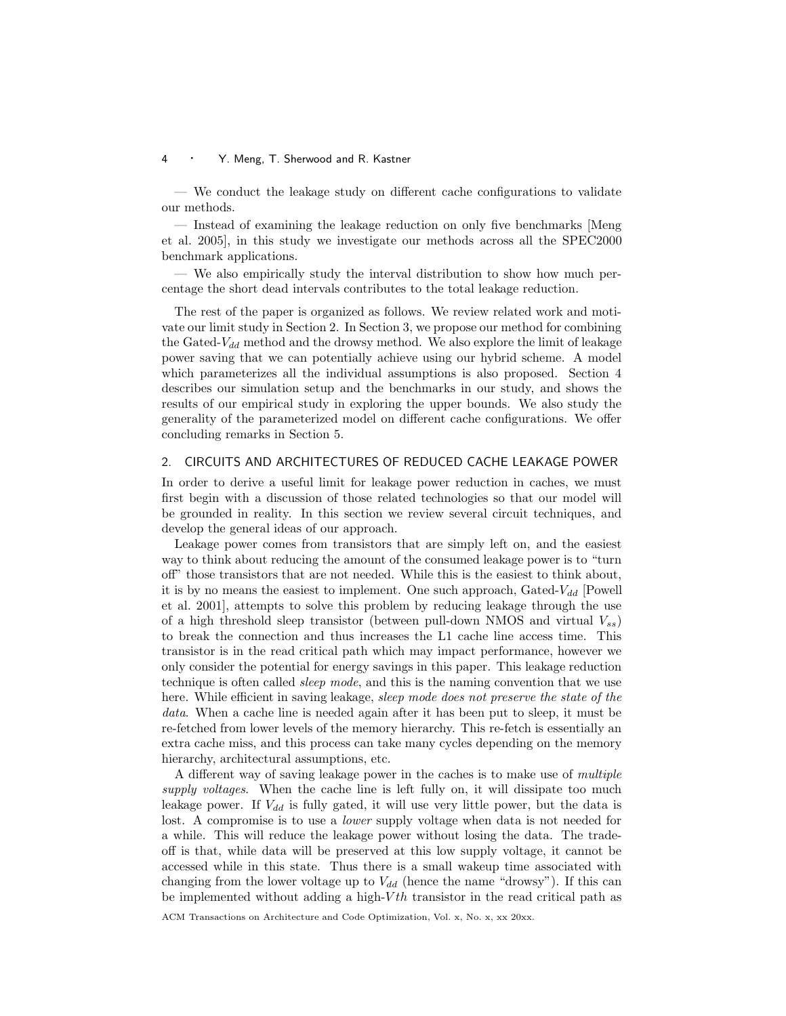— We conduct the leakage study on different cache configurations to validate our methods.

— Instead of examining the leakage reduction on only five benchmarks [Meng et al. 2005], in this study we investigate our methods across all the SPEC2000 benchmark applications.

— We also empirically study the interval distribution to show how much percentage the short dead intervals contributes to the total leakage reduction.

The rest of the paper is organized as follows. We review related work and motivate our limit study in Section 2. In Section 3, we propose our method for combining the Gated- $V_{dd}$  method and the drowsy method. We also explore the limit of leakage power saving that we can potentially achieve using our hybrid scheme. A model which parameterizes all the individual assumptions is also proposed. Section 4 describes our simulation setup and the benchmarks in our study, and shows the results of our empirical study in exploring the upper bounds. We also study the generality of the parameterized model on different cache configurations. We offer concluding remarks in Section 5.

## 2. CIRCUITS AND ARCHITECTURES OF REDUCED CACHE LEAKAGE POWER

In order to derive a useful limit for leakage power reduction in caches, we must first begin with a discussion of those related technologies so that our model will be grounded in reality. In this section we review several circuit techniques, and develop the general ideas of our approach.

Leakage power comes from transistors that are simply left on, and the easiest way to think about reducing the amount of the consumed leakage power is to "turn off" those transistors that are not needed. While this is the easiest to think about, it is by no means the easiest to implement. One such approach, Gated- $V_{dd}$  [Powell et al. 2001], attempts to solve this problem by reducing leakage through the use of a high threshold sleep transistor (between pull-down NMOS and virtual  $V_{ss}$ ) to break the connection and thus increases the L1 cache line access time. This transistor is in the read critical path which may impact performance, however we only consider the potential for energy savings in this paper. This leakage reduction technique is often called sleep mode, and this is the naming convention that we use here. While efficient in saving leakage, sleep mode does not preserve the state of the data. When a cache line is needed again after it has been put to sleep, it must be re-fetched from lower levels of the memory hierarchy. This re-fetch is essentially an extra cache miss, and this process can take many cycles depending on the memory hierarchy, architectural assumptions, etc.

A different way of saving leakage power in the caches is to make use of multiple supply voltages. When the cache line is left fully on, it will dissipate too much leakage power. If  $V_{dd}$  is fully gated, it will use very little power, but the data is lost. A compromise is to use a *lower* supply voltage when data is not needed for a while. This will reduce the leakage power without losing the data. The tradeoff is that, while data will be preserved at this low supply voltage, it cannot be accessed while in this state. Thus there is a small wakeup time associated with changing from the lower voltage up to  $V_{dd}$  (hence the name "drowsy"). If this can be implemented without adding a high- $Vth$  transistor in the read critical path as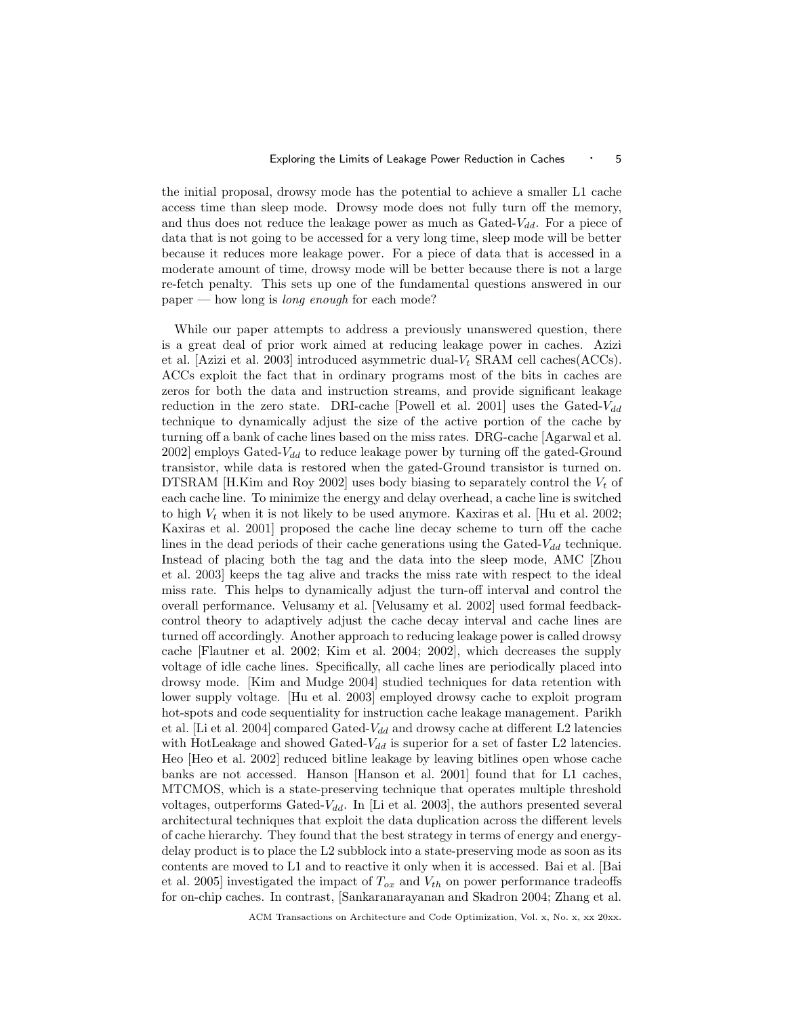the initial proposal, drowsy mode has the potential to achieve a smaller L1 cache access time than sleep mode. Drowsy mode does not fully turn off the memory, and thus does not reduce the leakage power as much as  $Gated-V_{dd}$ . For a piece of data that is not going to be accessed for a very long time, sleep mode will be better because it reduces more leakage power. For a piece of data that is accessed in a moderate amount of time, drowsy mode will be better because there is not a large re-fetch penalty. This sets up one of the fundamental questions answered in our paper — how long is long enough for each mode?

While our paper attempts to address a previously unanswered question, there is a great deal of prior work aimed at reducing leakage power in caches. Azizi et al. [Azizi et al. 2003] introduced asymmetric dual- $V_t$  SRAM cell caches(ACCs). ACCs exploit the fact that in ordinary programs most of the bits in caches are zeros for both the data and instruction streams, and provide significant leakage reduction in the zero state. DRI-cache [Powell et al. 2001] uses the Gated- $V_{dd}$ technique to dynamically adjust the size of the active portion of the cache by turning off a bank of cache lines based on the miss rates. DRG-cache [Agarwal et al. 2002] employs Gated- $V_{dd}$  to reduce leakage power by turning off the gated-Ground transistor, while data is restored when the gated-Ground transistor is turned on. DTSRAM [H.Kim and Roy 2002] uses body biasing to separately control the  $V_t$  of each cache line. To minimize the energy and delay overhead, a cache line is switched to high  $V_t$  when it is not likely to be used anymore. Kaxiras et al. [Hu et al. 2002; Kaxiras et al. 2001] proposed the cache line decay scheme to turn off the cache lines in the dead periods of their cache generations using the Gated- $V_{dd}$  technique. Instead of placing both the tag and the data into the sleep mode, AMC [Zhou et al. 2003] keeps the tag alive and tracks the miss rate with respect to the ideal miss rate. This helps to dynamically adjust the turn-off interval and control the overall performance. Velusamy et al. [Velusamy et al. 2002] used formal feedbackcontrol theory to adaptively adjust the cache decay interval and cache lines are turned off accordingly. Another approach to reducing leakage power is called drowsy cache [Flautner et al. 2002; Kim et al. 2004; 2002], which decreases the supply voltage of idle cache lines. Specifically, all cache lines are periodically placed into drowsy mode. [Kim and Mudge 2004] studied techniques for data retention with lower supply voltage. [Hu et al. 2003] employed drowsy cache to exploit program hot-spots and code sequentiality for instruction cache leakage management. Parikh et al. [Li et al. 2004] compared Gated- $V_{dd}$  and drowsy cache at different L2 latencies with HotLeakage and showed Gated- $V_{dd}$  is superior for a set of faster L2 latencies. Heo [Heo et al. 2002] reduced bitline leakage by leaving bitlines open whose cache banks are not accessed. Hanson [Hanson et al. 2001] found that for L1 caches, MTCMOS, which is a state-preserving technique that operates multiple threshold voltages, outperforms Gated- $V_{dd}$ . In [Li et al. 2003], the authors presented several architectural techniques that exploit the data duplication across the different levels of cache hierarchy. They found that the best strategy in terms of energy and energydelay product is to place the L2 subblock into a state-preserving mode as soon as its contents are moved to L1 and to reactive it only when it is accessed. Bai et al. [Bai et al. 2005] investigated the impact of  $T_{ox}$  and  $V_{th}$  on power performance tradeoffs for on-chip caches. In contrast, [Sankaranarayanan and Skadron 2004; Zhang et al.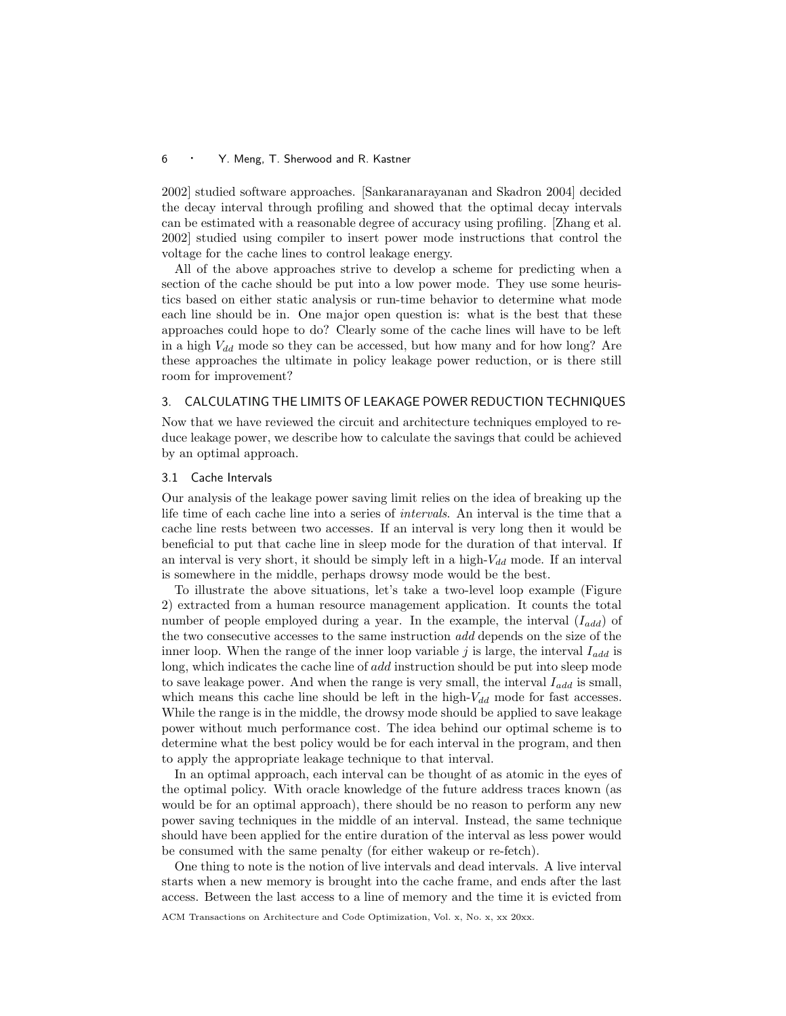2002] studied software approaches. [Sankaranarayanan and Skadron 2004] decided the decay interval through profiling and showed that the optimal decay intervals can be estimated with a reasonable degree of accuracy using profiling. [Zhang et al. 2002] studied using compiler to insert power mode instructions that control the voltage for the cache lines to control leakage energy.

All of the above approaches strive to develop a scheme for predicting when a section of the cache should be put into a low power mode. They use some heuristics based on either static analysis or run-time behavior to determine what mode each line should be in. One major open question is: what is the best that these approaches could hope to do? Clearly some of the cache lines will have to be left in a high  $V_{dd}$  mode so they can be accessed, but how many and for how long? Are these approaches the ultimate in policy leakage power reduction, or is there still room for improvement?

# 3. CALCULATING THE LIMITS OF LEAKAGE POWER REDUCTION TECHNIQUES

Now that we have reviewed the circuit and architecture techniques employed to reduce leakage power, we describe how to calculate the savings that could be achieved by an optimal approach.

# 3.1 Cache Intervals

Our analysis of the leakage power saving limit relies on the idea of breaking up the life time of each cache line into a series of intervals. An interval is the time that a cache line rests between two accesses. If an interval is very long then it would be beneficial to put that cache line in sleep mode for the duration of that interval. If an interval is very short, it should be simply left in a high- $V_{dd}$  mode. If an interval is somewhere in the middle, perhaps drowsy mode would be the best.

To illustrate the above situations, let's take a two-level loop example (Figure 2) extracted from a human resource management application. It counts the total number of people employed during a year. In the example, the interval  $(I_{add})$  of the two consecutive accesses to the same instruction add depends on the size of the inner loop. When the range of the inner loop variable j is large, the interval  $I_{add}$  is long, which indicates the cache line of add instruction should be put into sleep mode to save leakage power. And when the range is very small, the interval  $I_{add}$  is small, which means this cache line should be left in the high- $V_{dd}$  mode for fast accesses. While the range is in the middle, the drowsy mode should be applied to save leakage power without much performance cost. The idea behind our optimal scheme is to determine what the best policy would be for each interval in the program, and then to apply the appropriate leakage technique to that interval.

In an optimal approach, each interval can be thought of as atomic in the eyes of the optimal policy. With oracle knowledge of the future address traces known (as would be for an optimal approach), there should be no reason to perform any new power saving techniques in the middle of an interval. Instead, the same technique should have been applied for the entire duration of the interval as less power would be consumed with the same penalty (for either wakeup or re-fetch).

One thing to note is the notion of live intervals and dead intervals. A live interval starts when a new memory is brought into the cache frame, and ends after the last access. Between the last access to a line of memory and the time it is evicted from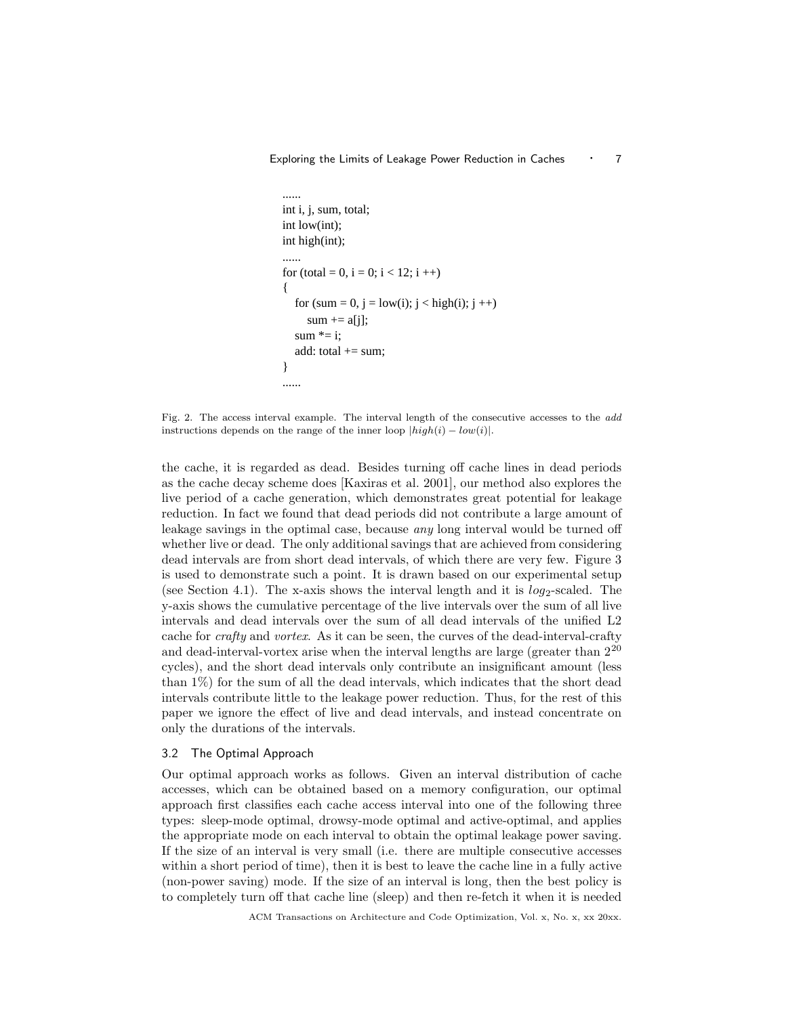```
......

int i, j, sum, total;

int low(int);

int high(int);

......

for (total = 0, i = 0; i < 12; i ++)
{

  for (sum = 0, j = low(i); j < high(i); j++)sum  == a[i];sum * = i:
  add: total += sum;
}

......
```
Fig. 2. The access interval example. The interval length of the consecutive accesses to the add instructions depends on the range of the inner loop  $|high(i) - low(i)|$ .

the cache, it is regarded as dead. Besides turning off cache lines in dead periods as the cache decay scheme does [Kaxiras et al. 2001], our method also explores the live period of a cache generation, which demonstrates great potential for leakage reduction. In fact we found that dead periods did not contribute a large amount of leakage savings in the optimal case, because any long interval would be turned off whether live or dead. The only additional savings that are achieved from considering dead intervals are from short dead intervals, of which there are very few. Figure 3 is used to demonstrate such a point. It is drawn based on our experimental setup (see Section 4.1). The x-axis shows the interval length and it is  $log_2$ -scaled. The y-axis shows the cumulative percentage of the live intervals over the sum of all live intervals and dead intervals over the sum of all dead intervals of the unified L2 cache for crafty and vortex. As it can be seen, the curves of the dead-interval-crafty and dead-interval-vortex arise when the interval lengths are large (greater than  $2^{20}$ cycles), and the short dead intervals only contribute an insignificant amount (less than 1%) for the sum of all the dead intervals, which indicates that the short dead intervals contribute little to the leakage power reduction. Thus, for the rest of this paper we ignore the effect of live and dead intervals, and instead concentrate on only the durations of the intervals.

# 3.2 The Optimal Approach

Our optimal approach works as follows. Given an interval distribution of cache accesses, which can be obtained based on a memory configuration, our optimal approach first classifies each cache access interval into one of the following three types: sleep-mode optimal, drowsy-mode optimal and active-optimal, and applies the appropriate mode on each interval to obtain the optimal leakage power saving. If the size of an interval is very small (i.e. there are multiple consecutive accesses within a short period of time), then it is best to leave the cache line in a fully active (non-power saving) mode. If the size of an interval is long, then the best policy is to completely turn off that cache line (sleep) and then re-fetch it when it is needed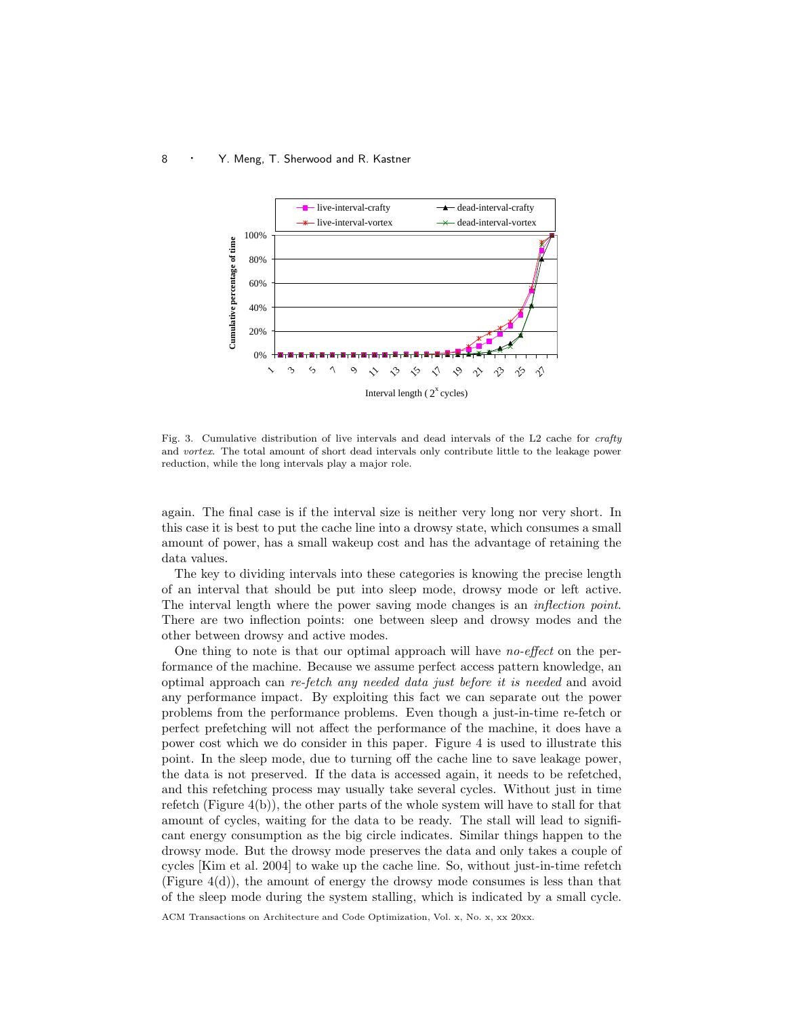

Fig. 3. Cumulative distribution of live intervals and dead intervals of the L2 cache for crafty and vortex. The total amount of short dead intervals only contribute little to the leakage power reduction, while the long intervals play a major role.

again. The final case is if the interval size is neither very long nor very short. In this case it is best to put the cache line into a drowsy state, which consumes a small amount of power, has a small wakeup cost and has the advantage of retaining the data values.

The key to dividing intervals into these categories is knowing the precise length of an interval that should be put into sleep mode, drowsy mode or left active. The interval length where the power saving mode changes is an inflection point. There are two inflection points: one between sleep and drowsy modes and the other between drowsy and active modes.

One thing to note is that our optimal approach will have no-effect on the performance of the machine. Because we assume perfect access pattern knowledge, an optimal approach can re-fetch any needed data just before it is needed and avoid any performance impact. By exploiting this fact we can separate out the power problems from the performance problems. Even though a just-in-time re-fetch or perfect prefetching will not affect the performance of the machine, it does have a power cost which we do consider in this paper. Figure 4 is used to illustrate this point. In the sleep mode, due to turning off the cache line to save leakage power, the data is not preserved. If the data is accessed again, it needs to be refetched, and this refetching process may usually take several cycles. Without just in time refetch (Figure 4(b)), the other parts of the whole system will have to stall for that amount of cycles, waiting for the data to be ready. The stall will lead to significant energy consumption as the big circle indicates. Similar things happen to the drowsy mode. But the drowsy mode preserves the data and only takes a couple of cycles [Kim et al. 2004] to wake up the cache line. So, without just-in-time refetch (Figure  $4(d)$ ), the amount of energy the drowsy mode consumes is less than that of the sleep mode during the system stalling, which is indicated by a small cycle.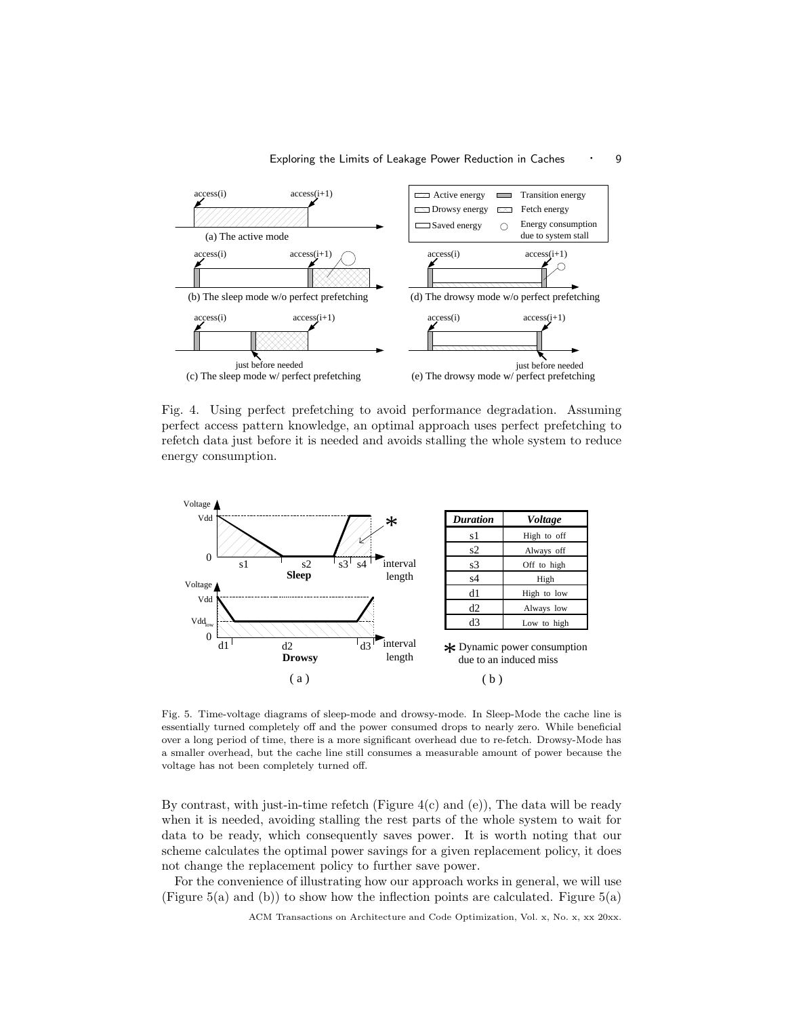

Fig. 4. Using perfect prefetching to avoid performance degradation. Assuming perfect access pattern knowledge, an optimal approach uses perfect prefetching to refetch data just before it is needed and avoids stalling the whole system to reduce energy consumption.



Fig. 5. Time-voltage diagrams of sleep-mode and drowsy-mode. In Sleep-Mode the cache line is essentially turned completely off and the power consumed drops to nearly zero. While beneficial over a long period of time, there is a more significant overhead due to re-fetch. Drowsy-Mode has a smaller overhead, but the cache line still consumes a measurable amount of power because the voltage has not been completely turned off.

By contrast, with just-in-time refetch (Figure  $4(c)$  and  $(e)$ ), The data will be ready when it is needed, avoiding stalling the rest parts of the whole system to wait for data to be ready, which consequently saves power. It is worth noting that our scheme calculates the optimal power savings for a given replacement policy, it does not change the replacement policy to further save power.

For the convenience of illustrating how our approach works in general, we will use (Figure 5(a) and (b)) to show how the inflection points are calculated. Figure 5(a)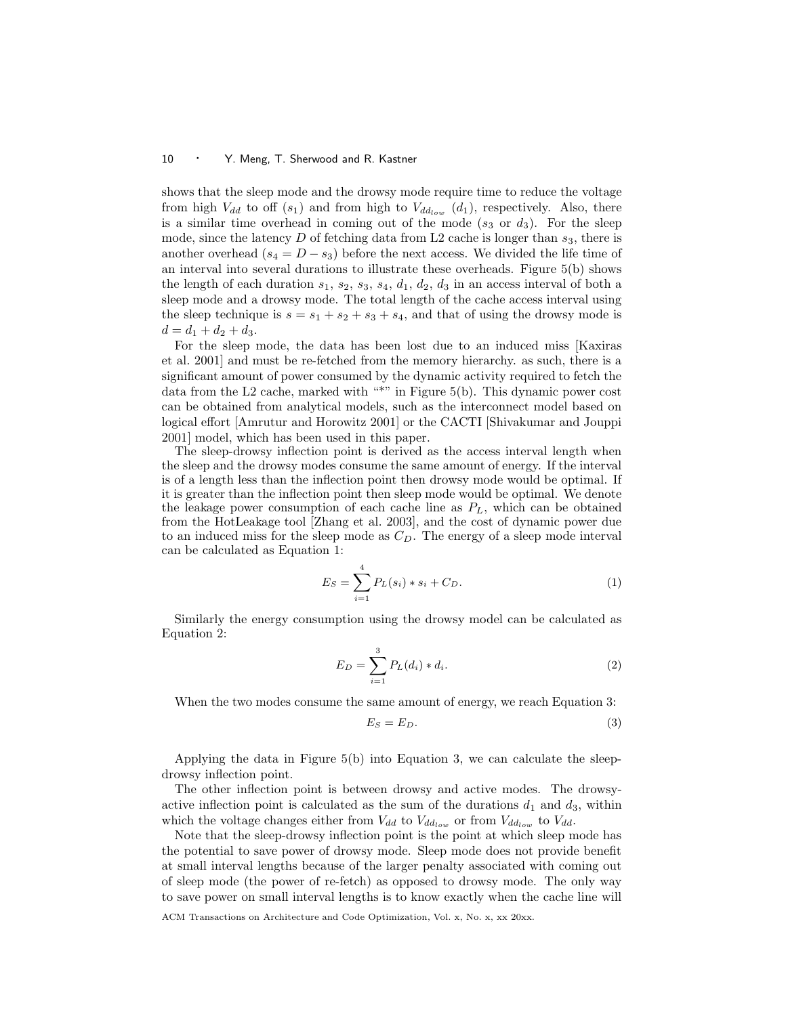shows that the sleep mode and the drowsy mode require time to reduce the voltage from high  $V_{dd}$  to off  $(s_1)$  and from high to  $V_{dd_{low}}(d_1)$ , respectively. Also, there is a similar time overhead in coming out of the mode  $(s_3 \text{ or } d_3)$ . For the sleep mode, since the latency  $D$  of fetching data from L2 cache is longer than  $s_3$ , there is another overhead ( $s_4 = D - s_3$ ) before the next access. We divided the life time of an interval into several durations to illustrate these overheads. Figure 5(b) shows the length of each duration  $s_1$ ,  $s_2$ ,  $s_3$ ,  $s_4$ ,  $d_1$ ,  $d_2$ ,  $d_3$  in an access interval of both a sleep mode and a drowsy mode. The total length of the cache access interval using the sleep technique is  $s = s_1 + s_2 + s_3 + s_4$ , and that of using the drowsy mode is  $d = d_1 + d_2 + d_3.$ 

For the sleep mode, the data has been lost due to an induced miss [Kaxiras et al. 2001] and must be re-fetched from the memory hierarchy. as such, there is a significant amount of power consumed by the dynamic activity required to fetch the data from the L2 cache, marked with "\*" in Figure 5(b). This dynamic power cost can be obtained from analytical models, such as the interconnect model based on logical effort [Amrutur and Horowitz 2001] or the CACTI [Shivakumar and Jouppi 2001] model, which has been used in this paper.

The sleep-drowsy inflection point is derived as the access interval length when the sleep and the drowsy modes consume the same amount of energy. If the interval is of a length less than the inflection point then drowsy mode would be optimal. If it is greater than the inflection point then sleep mode would be optimal. We denote the leakage power consumption of each cache line as  $P_L$ , which can be obtained from the HotLeakage tool [Zhang et al. 2003], and the cost of dynamic power due to an induced miss for the sleep mode as  $C<sub>D</sub>$ . The energy of a sleep mode interval can be calculated as Equation 1:

$$
E_S = \sum_{i=1}^{4} P_L(s_i) * s_i + C_D.
$$
 (1)

Similarly the energy consumption using the drowsy model can be calculated as Equation 2:

$$
E_D = \sum_{i=1}^{3} P_L(d_i) * d_i.
$$
 (2)

When the two modes consume the same amount of energy, we reach Equation 3:

$$
E_S = E_D. \t\t(3)
$$

Applying the data in Figure 5(b) into Equation 3, we can calculate the sleepdrowsy inflection point.

The other inflection point is between drowsy and active modes. The drowsyactive inflection point is calculated as the sum of the durations  $d_1$  and  $d_3$ , within which the voltage changes either from  $V_{dd}$  to  $V_{dd}$  or from  $V_{dd}$  to  $V_{dd}$ .

Note that the sleep-drowsy inflection point is the point at which sleep mode has the potential to save power of drowsy mode. Sleep mode does not provide benefit at small interval lengths because of the larger penalty associated with coming out of sleep mode (the power of re-fetch) as opposed to drowsy mode. The only way to save power on small interval lengths is to know exactly when the cache line will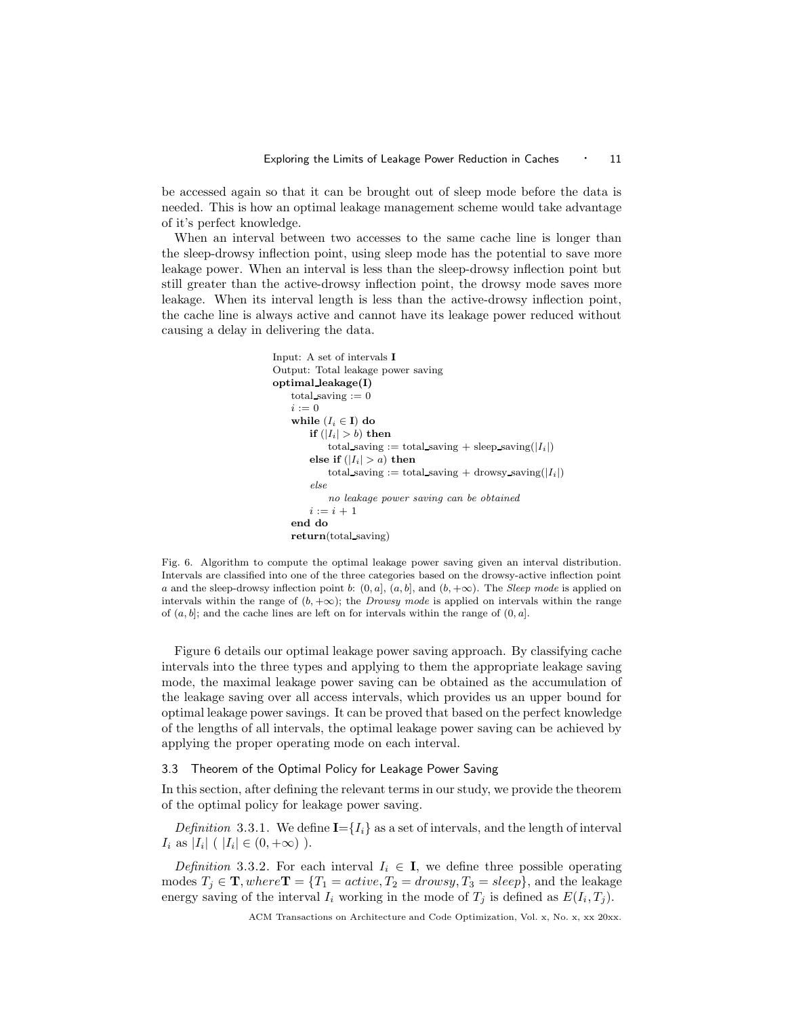be accessed again so that it can be brought out of sleep mode before the data is needed. This is how an optimal leakage management scheme would take advantage of it's perfect knowledge.

When an interval between two accesses to the same cache line is longer than the sleep-drowsy inflection point, using sleep mode has the potential to save more leakage power. When an interval is less than the sleep-drowsy inflection point but still greater than the active-drowsy inflection point, the drowsy mode saves more leakage. When its interval length is less than the active-drowsy inflection point, the cache line is always active and cannot have its leakage power reduced without causing a delay in delivering the data.

```
Input: A set of intervals I
Output: Total leakage power saving
optimal leakage(I)
   total saving := 0i := 0while (I_i \in I) do
       if (|I_i| > b) then
           total saving := total saving + sleep saving(|I_i|)
       else if (|I_i| > a) then
           total saving := total saving + drowsy saving(|I_i|)
       else
           no leakage power saving can be obtained
       i := i + 1end do
   return(total saving)
```
Fig. 6. Algorithm to compute the optimal leakage power saving given an interval distribution. Intervals are classified into one of the three categories based on the drowsy-active inflection point a and the sleep-drowsy inflection point b:  $(0, a]$ ,  $(a, b]$ , and  $(b, +\infty)$ . The *Sleep mode* is applied on intervals within the range of  $(b, +\infty)$ ; the *Drowsy mode* is applied on intervals within the range of  $(a, b]$ ; and the cache lines are left on for intervals within the range of  $(0, a]$ .

Figure 6 details our optimal leakage power saving approach. By classifying cache intervals into the three types and applying to them the appropriate leakage saving mode, the maximal leakage power saving can be obtained as the accumulation of the leakage saving over all access intervals, which provides us an upper bound for optimal leakage power savings. It can be proved that based on the perfect knowledge of the lengths of all intervals, the optimal leakage power saving can be achieved by applying the proper operating mode on each interval.

# 3.3 Theorem of the Optimal Policy for Leakage Power Saving

In this section, after defining the relevant terms in our study, we provide the theorem of the optimal policy for leakage power saving.

Definition 3.3.1. We define  $I = \{I_i\}$  as a set of intervals, and the length of interval  $I_i$  as  $|I_i|$  (  $|I_i| \in (0, +\infty)$  ).

Definition 3.3.2. For each interval  $I_i \in I$ , we define three possible operating modes  $T_i \in \mathbf{T}$ , where  $\mathbf{T} = \{T_1 = active, T_2 = drops, T_3 = sleep\}$ , and the leakage energy saving of the interval  $I_i$  working in the mode of  $T_j$  is defined as  $E(I_i, T_j)$ .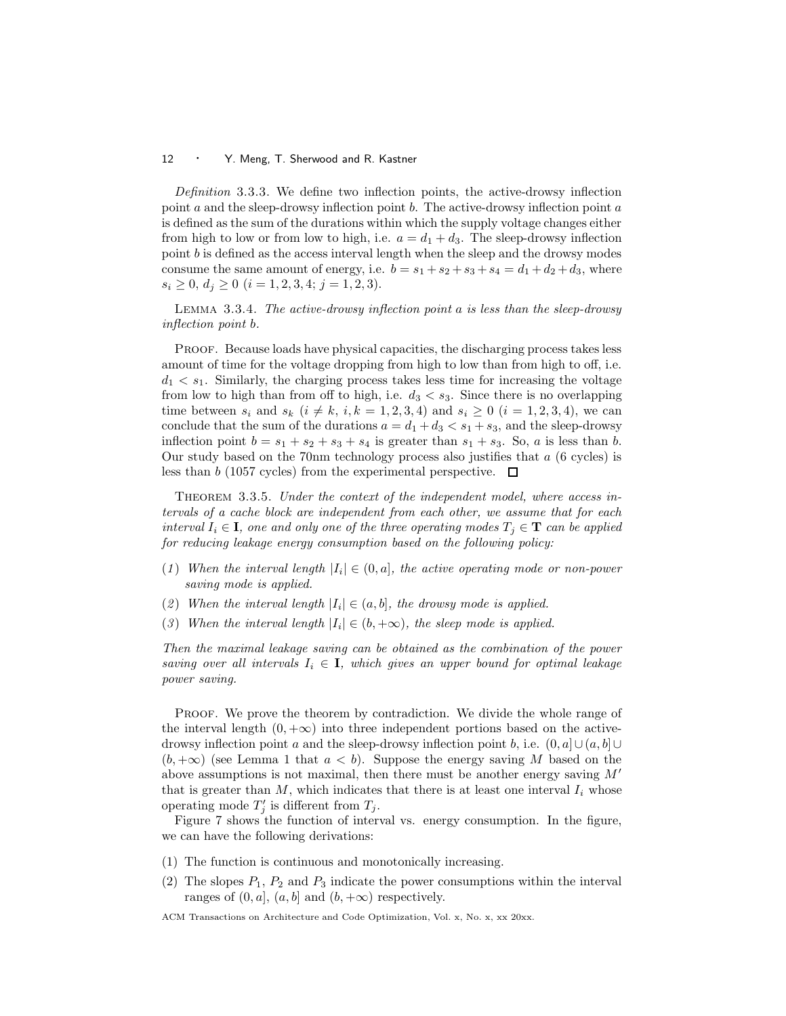Definition 3.3.3. We define two inflection points, the active-drowsy inflection point  $a$  and the sleep-drowsy inflection point  $b$ . The active-drowsy inflection point  $a$ is defined as the sum of the durations within which the supply voltage changes either from high to low or from low to high, i.e.  $a = d_1 + d_3$ . The sleep-drowsy inflection point  $b$  is defined as the access interval length when the sleep and the drowsy modes consume the same amount of energy, i.e.  $b = s_1 + s_2 + s_3 + s_4 = d_1 + d_2 + d_3$ , where  $s_i \geq 0, d_j \geq 0$   $(i = 1, 2, 3, 4; j = 1, 2, 3).$ 

Lemma 3.3.4. The active-drowsy inflection point a is less than the sleep-drowsy inflection point b.

Proof. Because loads have physical capacities, the discharging process takes less amount of time for the voltage dropping from high to low than from high to off, i.e.  $d_1 < s_1$ . Similarly, the charging process takes less time for increasing the voltage from low to high than from off to high, i.e.  $d_3 < s_3$ . Since there is no overlapping time between  $s_i$  and  $s_k$   $(i \neq k, i, k = 1, 2, 3, 4)$  and  $s_i \geq 0$   $(i = 1, 2, 3, 4)$ , we can conclude that the sum of the durations  $a = d_1 + d_3 < s_1 + s_3$ , and the sleep-drowsy inflection point  $b = s_1 + s_2 + s_3 + s_4$  is greater than  $s_1 + s_3$ . So, a is less than b. Our study based on the 70nm technology process also justifies that a (6 cycles) is less than b (1057 cycles) from the experimental perspective.  $\Box$ 

Theorem 3.3.5. Under the context of the independent model, where access intervals of a cache block are independent from each other, we assume that for each interval  $I_i \in \mathbf{I}$ , one and only one of the three operating modes  $T_i \in \mathbf{T}$  can be applied for reducing leakage energy consumption based on the following policy:

- (1) When the interval length  $|I_i| \in (0, a]$ , the active operating mode or non-power saving mode is applied.
- (2) When the interval length  $|I_i| \in (a, b]$ , the drowsy mode is applied.
- (3) When the interval length  $|I_i| \in (b, +\infty)$ , the sleep mode is applied.

Then the maximal leakage saving can be obtained as the combination of the power saving over all intervals  $I_i \in \mathbf{I}$ , which gives an upper bound for optimal leakage power saving.

PROOF. We prove the theorem by contradiction. We divide the whole range of the interval length  $(0, +\infty)$  into three independent portions based on the activedrowsy inflection point a and the sleep-drowsy inflection point b, i.e.  $(0, a] \cup (a, b] \cup$  $(b, +\infty)$  (see Lemma 1 that  $a < b$ ). Suppose the energy saving M based on the above assumptions is not maximal, then there must be another energy saving  $M'$ that is greater than  $M$ , which indicates that there is at least one interval  $I_i$  whose operating mode  $T'_j$  is different from  $T_j$ .

Figure 7 shows the function of interval vs. energy consumption. In the figure, we can have the following derivations:

- (1) The function is continuous and monotonically increasing.
- (2) The slopes  $P_1$ ,  $P_2$  and  $P_3$  indicate the power consumptions within the interval ranges of  $(0, a]$ ,  $(a, b]$  and  $(b, +\infty)$  respectively.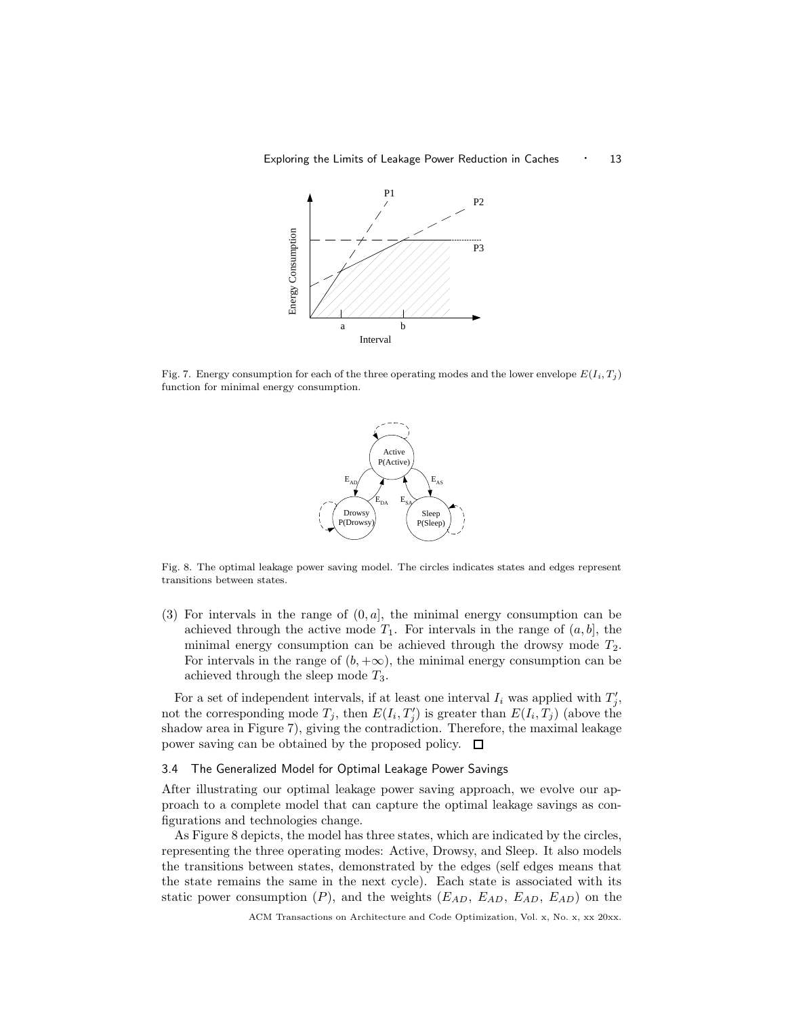

Fig. 7. Energy consumption for each of the three operating modes and the lower envelope  $E(I_i, T_j)$ function for minimal energy consumption.



Fig. 8. The optimal leakage power saving model. The circles indicates states and edges represent transitions between states.

(3) For intervals in the range of  $(0, a]$ , the minimal energy consumption can be achieved through the active mode  $T_1$ . For intervals in the range of  $(a, b]$ , the minimal energy consumption can be achieved through the drowsy mode  $T_2$ . For intervals in the range of  $(b, +\infty)$ , the minimal energy consumption can be achieved through the sleep mode  $T_3$ .

For a set of independent intervals, if at least one interval  $I_i$  was applied with  $T'_j$ , not the corresponding mode  $T_j$ , then  $E(I_i, T'_j)$  is greater than  $E(I_i, T_j)$  (above the shadow area in Figure 7), giving the contradiction. Therefore, the maximal leakage power saving can be obtained by the proposed policy.

# 3.4 The Generalized Model for Optimal Leakage Power Savings

After illustrating our optimal leakage power saving approach, we evolve our approach to a complete model that can capture the optimal leakage savings as configurations and technologies change.

As Figure 8 depicts, the model has three states, which are indicated by the circles, representing the three operating modes: Active, Drowsy, and Sleep. It also models the transitions between states, demonstrated by the edges (self edges means that the state remains the same in the next cycle). Each state is associated with its static power consumption  $(P)$ , and the weights  $(E_{AD}, E_{AD}, E_{AD}, E_{AD})$  on the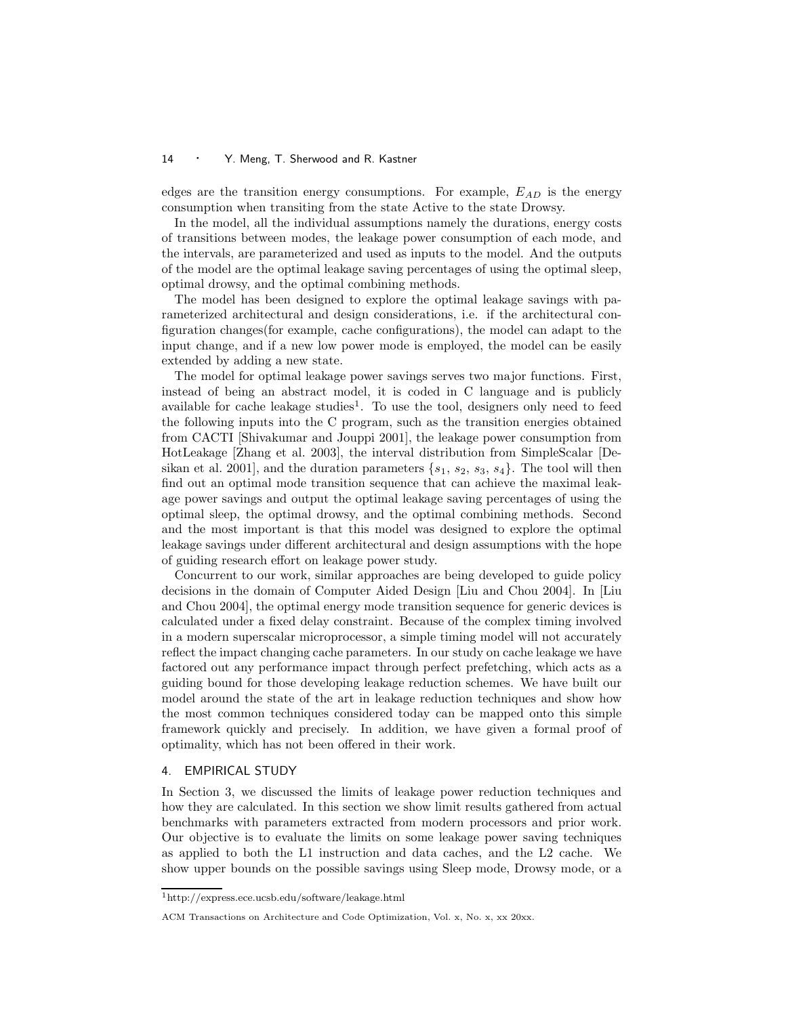edges are the transition energy consumptions. For example,  $E_{AD}$  is the energy consumption when transiting from the state Active to the state Drowsy.

In the model, all the individual assumptions namely the durations, energy costs of transitions between modes, the leakage power consumption of each mode, and the intervals, are parameterized and used as inputs to the model. And the outputs of the model are the optimal leakage saving percentages of using the optimal sleep, optimal drowsy, and the optimal combining methods.

The model has been designed to explore the optimal leakage savings with parameterized architectural and design considerations, i.e. if the architectural configuration changes(for example, cache configurations), the model can adapt to the input change, and if a new low power mode is employed, the model can be easily extended by adding a new state.

The model for optimal leakage power savings serves two major functions. First, instead of being an abstract model, it is coded in C language and is publicly available for cache leakage studies<sup>1</sup>. To use the tool, designers only need to feed the following inputs into the C program, such as the transition energies obtained from CACTI [Shivakumar and Jouppi 2001], the leakage power consumption from HotLeakage [Zhang et al. 2003], the interval distribution from SimpleScalar [Desikan et al. 2001], and the duration parameters  $\{s_1, s_2, s_3, s_4\}$ . The tool will then find out an optimal mode transition sequence that can achieve the maximal leakage power savings and output the optimal leakage saving percentages of using the optimal sleep, the optimal drowsy, and the optimal combining methods. Second and the most important is that this model was designed to explore the optimal leakage savings under different architectural and design assumptions with the hope of guiding research effort on leakage power study.

Concurrent to our work, similar approaches are being developed to guide policy decisions in the domain of Computer Aided Design [Liu and Chou 2004]. In [Liu and Chou 2004], the optimal energy mode transition sequence for generic devices is calculated under a fixed delay constraint. Because of the complex timing involved in a modern superscalar microprocessor, a simple timing model will not accurately reflect the impact changing cache parameters. In our study on cache leakage we have factored out any performance impact through perfect prefetching, which acts as a guiding bound for those developing leakage reduction schemes. We have built our model around the state of the art in leakage reduction techniques and show how the most common techniques considered today can be mapped onto this simple framework quickly and precisely. In addition, we have given a formal proof of optimality, which has not been offered in their work.

## 4. EMPIRICAL STUDY

In Section 3, we discussed the limits of leakage power reduction techniques and how they are calculated. In this section we show limit results gathered from actual benchmarks with parameters extracted from modern processors and prior work. Our objective is to evaluate the limits on some leakage power saving techniques as applied to both the L1 instruction and data caches, and the L2 cache. We show upper bounds on the possible savings using Sleep mode, Drowsy mode, or a

<sup>1</sup>http://express.ece.ucsb.edu/software/leakage.html

ACM Transactions on Architecture and Code Optimization, Vol. x, No. x, xx 20xx.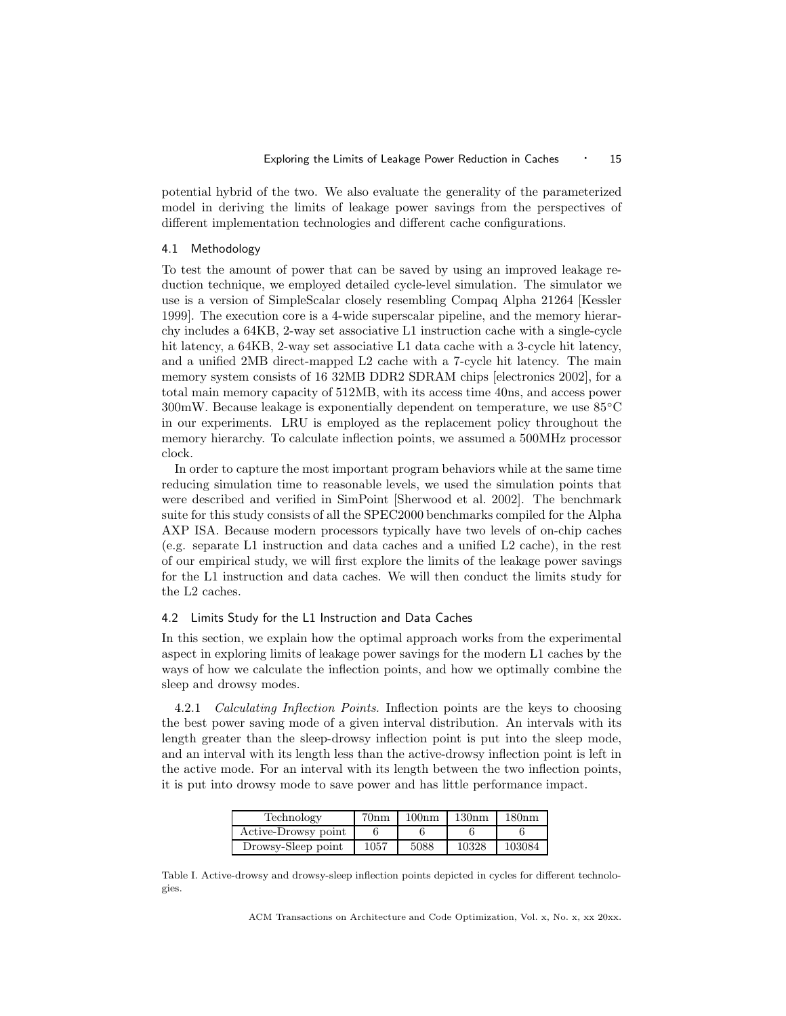potential hybrid of the two. We also evaluate the generality of the parameterized model in deriving the limits of leakage power savings from the perspectives of different implementation technologies and different cache configurations.

#### 4.1 Methodology

To test the amount of power that can be saved by using an improved leakage reduction technique, we employed detailed cycle-level simulation. The simulator we use is a version of SimpleScalar closely resembling Compaq Alpha 21264 [Kessler 1999]. The execution core is a 4-wide superscalar pipeline, and the memory hierarchy includes a 64KB, 2-way set associative L1 instruction cache with a single-cycle hit latency, a  $64KB$ , 2-way set associative L1 data cache with a 3-cycle hit latency, and a unified 2MB direct-mapped L2 cache with a 7-cycle hit latency. The main memory system consists of 16 32MB DDR2 SDRAM chips [electronics 2002], for a total main memory capacity of 512MB, with its access time 40ns, and access power 300mW. Because leakage is exponentially dependent on temperature, we use 85◦C in our experiments. LRU is employed as the replacement policy throughout the memory hierarchy. To calculate inflection points, we assumed a 500MHz processor clock.

In order to capture the most important program behaviors while at the same time reducing simulation time to reasonable levels, we used the simulation points that were described and verified in SimPoint [Sherwood et al. 2002]. The benchmark suite for this study consists of all the SPEC2000 benchmarks compiled for the Alpha AXP ISA. Because modern processors typically have two levels of on-chip caches (e.g. separate L1 instruction and data caches and a unified L2 cache), in the rest of our empirical study, we will first explore the limits of the leakage power savings for the L1 instruction and data caches. We will then conduct the limits study for the L2 caches.

## 4.2 Limits Study for the L1 Instruction and Data Caches

In this section, we explain how the optimal approach works from the experimental aspect in exploring limits of leakage power savings for the modern L1 caches by the ways of how we calculate the inflection points, and how we optimally combine the sleep and drowsy modes.

4.2.1 Calculating Inflection Points. Inflection points are the keys to choosing the best power saving mode of a given interval distribution. An intervals with its length greater than the sleep-drowsy inflection point is put into the sleep mode, and an interval with its length less than the active-drowsy inflection point is left in the active mode. For an interval with its length between the two inflection points, it is put into drowsy mode to save power and has little performance impact.

| Technology          | 70 <sub>nm</sub> | 100nm | 130nm | 180nm  |
|---------------------|------------------|-------|-------|--------|
| Active-Drowsy point |                  |       |       |        |
| Drowsy-Sleep point  | 1057             | 5088  | 10328 | 103084 |

Table I. Active-drowsy and drowsy-sleep inflection points depicted in cycles for different technologies.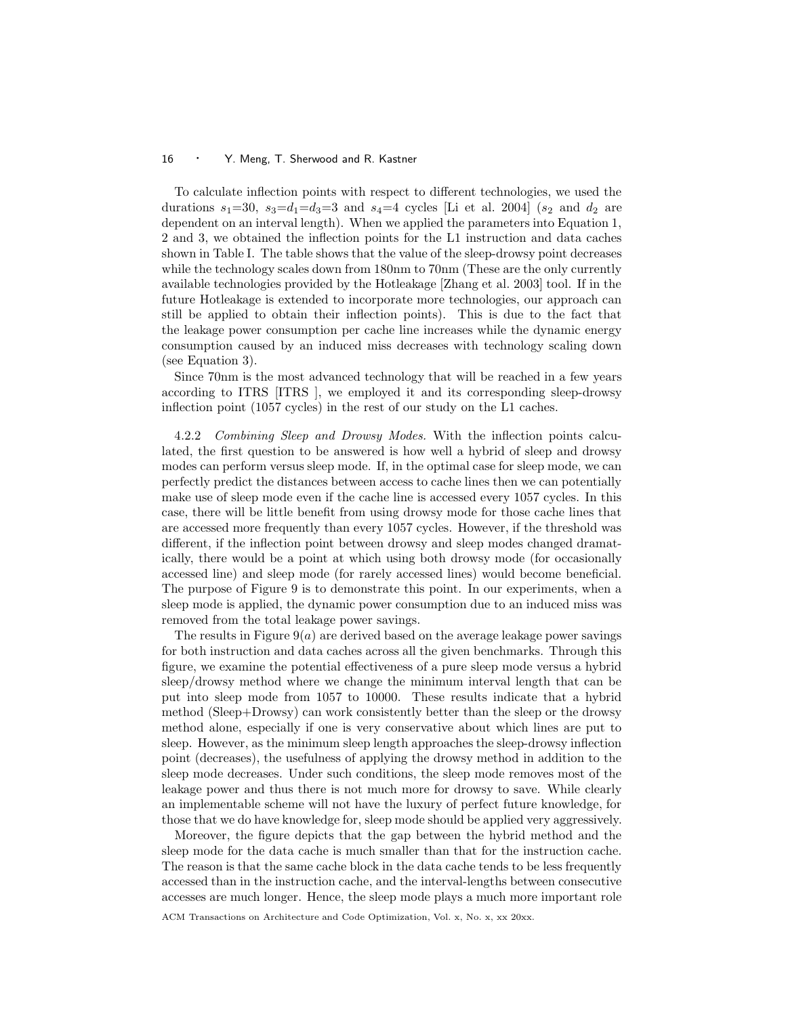To calculate inflection points with respect to different technologies, we used the durations  $s_1=30$ ,  $s_3=d_1=d_3=3$  and  $s_4=4$  cycles [Li et al. 2004] ( $s_2$  and  $d_2$  are dependent on an interval length). When we applied the parameters into Equation 1, 2 and 3, we obtained the inflection points for the L1 instruction and data caches shown in Table I. The table shows that the value of the sleep-drowsy point decreases while the technology scales down from 180nm to 70nm (These are the only currently available technologies provided by the Hotleakage [Zhang et al. 2003] tool. If in the future Hotleakage is extended to incorporate more technologies, our approach can still be applied to obtain their inflection points). This is due to the fact that the leakage power consumption per cache line increases while the dynamic energy consumption caused by an induced miss decreases with technology scaling down (see Equation 3).

Since 70nm is the most advanced technology that will be reached in a few years according to ITRS [ITRS ], we employed it and its corresponding sleep-drowsy inflection point (1057 cycles) in the rest of our study on the L1 caches.

4.2.2 Combining Sleep and Drowsy Modes. With the inflection points calculated, the first question to be answered is how well a hybrid of sleep and drowsy modes can perform versus sleep mode. If, in the optimal case for sleep mode, we can perfectly predict the distances between access to cache lines then we can potentially make use of sleep mode even if the cache line is accessed every 1057 cycles. In this case, there will be little benefit from using drowsy mode for those cache lines that are accessed more frequently than every 1057 cycles. However, if the threshold was different, if the inflection point between drowsy and sleep modes changed dramatically, there would be a point at which using both drowsy mode (for occasionally accessed line) and sleep mode (for rarely accessed lines) would become beneficial. The purpose of Figure 9 is to demonstrate this point. In our experiments, when a sleep mode is applied, the dynamic power consumption due to an induced miss was removed from the total leakage power savings.

The results in Figure  $9(a)$  are derived based on the average leakage power savings for both instruction and data caches across all the given benchmarks. Through this figure, we examine the potential effectiveness of a pure sleep mode versus a hybrid sleep/drowsy method where we change the minimum interval length that can be put into sleep mode from 1057 to 10000. These results indicate that a hybrid method (Sleep+Drowsy) can work consistently better than the sleep or the drowsy method alone, especially if one is very conservative about which lines are put to sleep. However, as the minimum sleep length approaches the sleep-drowsy inflection point (decreases), the usefulness of applying the drowsy method in addition to the sleep mode decreases. Under such conditions, the sleep mode removes most of the leakage power and thus there is not much more for drowsy to save. While clearly an implementable scheme will not have the luxury of perfect future knowledge, for those that we do have knowledge for, sleep mode should be applied very aggressively.

Moreover, the figure depicts that the gap between the hybrid method and the sleep mode for the data cache is much smaller than that for the instruction cache. The reason is that the same cache block in the data cache tends to be less frequently accessed than in the instruction cache, and the interval-lengths between consecutive accesses are much longer. Hence, the sleep mode plays a much more important role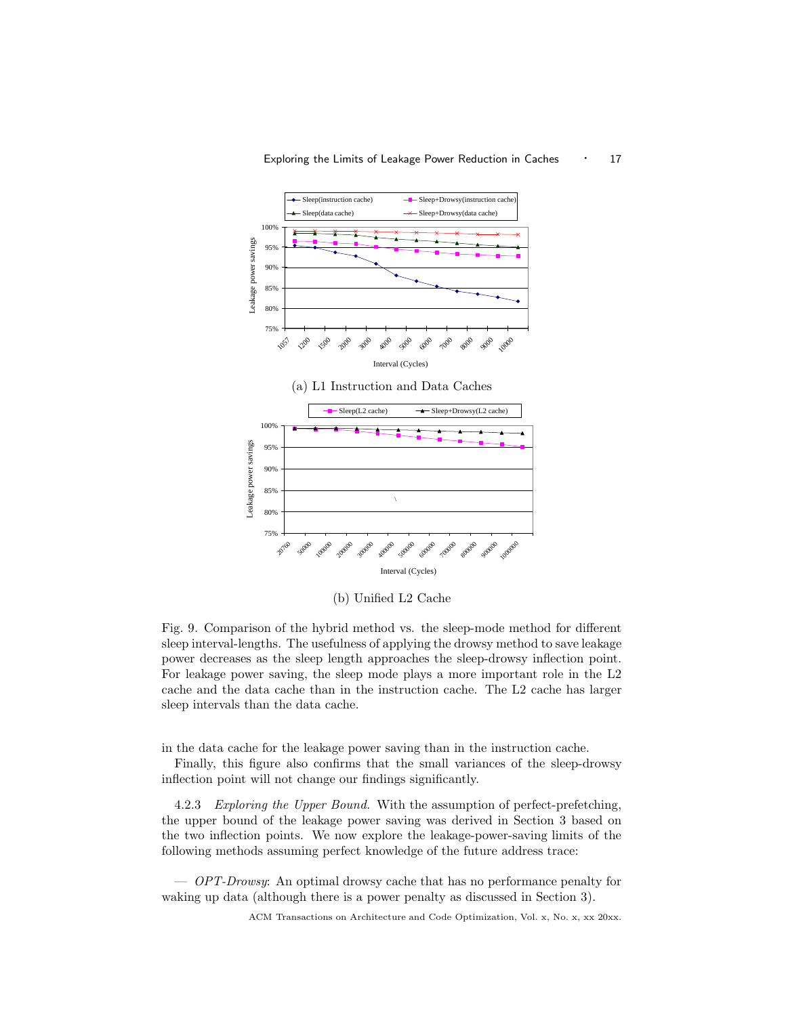

(b) Unified L2 Cache

Fig. 9. Comparison of the hybrid method vs. the sleep-mode method for different sleep interval-lengths. The usefulness of applying the drowsy method to save leakage power decreases as the sleep length approaches the sleep-drowsy inflection point. For leakage power saving, the sleep mode plays a more important role in the L2 cache and the data cache than in the instruction cache. The L2 cache has larger sleep intervals than the data cache.

in the data cache for the leakage power saving than in the instruction cache.

Finally, this figure also confirms that the small variances of the sleep-drowsy inflection point will not change our findings significantly.

4.2.3 Exploring the Upper Bound. With the assumption of perfect-prefetching, the upper bound of the leakage power saving was derived in Section 3 based on the two inflection points. We now explore the leakage-power-saving limits of the following methods assuming perfect knowledge of the future address trace:

— OPT-Drowsy: An optimal drowsy cache that has no performance penalty for waking up data (although there is a power penalty as discussed in Section 3).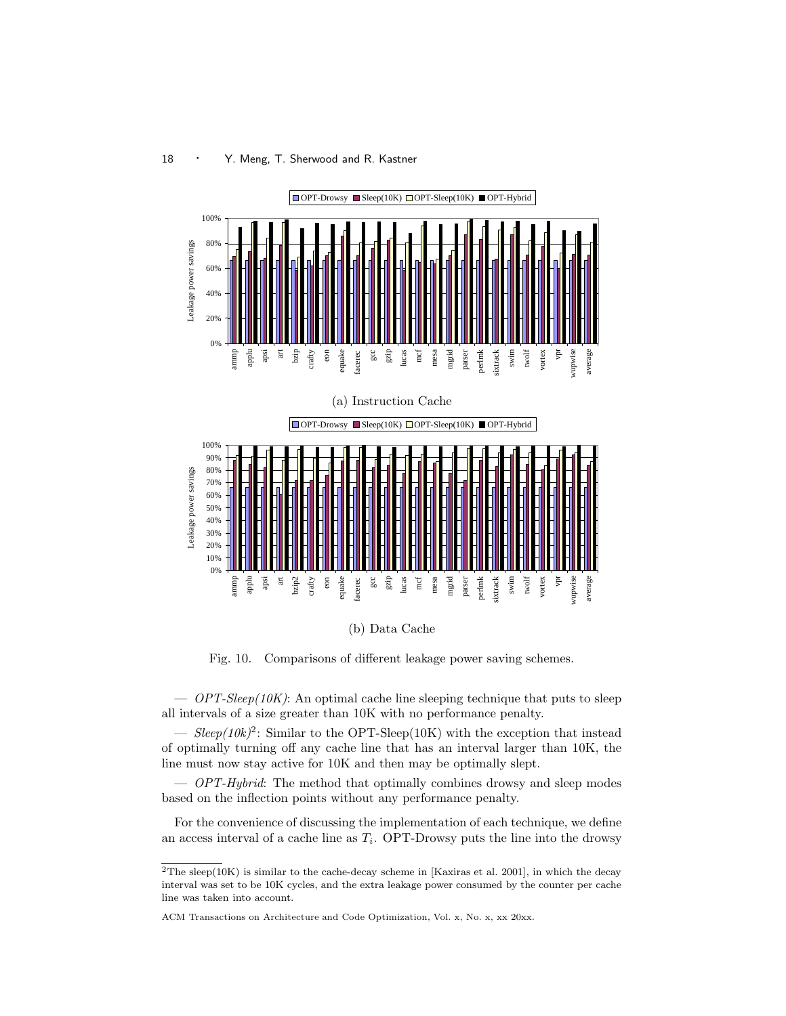

(b) Data Cache

Fig. 10. Comparisons of different leakage power saving schemes.

 $\overline{OPT\text{-}Sleep(10K)}$ : An optimal cache line sleeping technique that puts to sleep all intervals of a size greater than 10K with no performance penalty.

 $-$  Sleep(10k)<sup>2</sup>: Similar to the OPT-Sleep(10K) with the exception that instead of optimally turning off any cache line that has an interval larger than 10K, the line must now stay active for 10K and then may be optimally slept.

— *OPT-Hybrid*: The method that optimally combines drowsy and sleep modes based on the inflection points without any performance penalty.

For the convenience of discussing the implementation of each technique, we define an access interval of a cache line as  $T_i$ . OPT-Drowsy puts the line into the drowsy

 $2$ The sleep(10K) is similar to the cache-decay scheme in [Kaxiras et al. 2001], in which the decay interval was set to be 10K cycles, and the extra leakage power consumed by the counter per cache line was taken into account.

ACM Transactions on Architecture and Code Optimization, Vol. x, No. x, xx 20xx.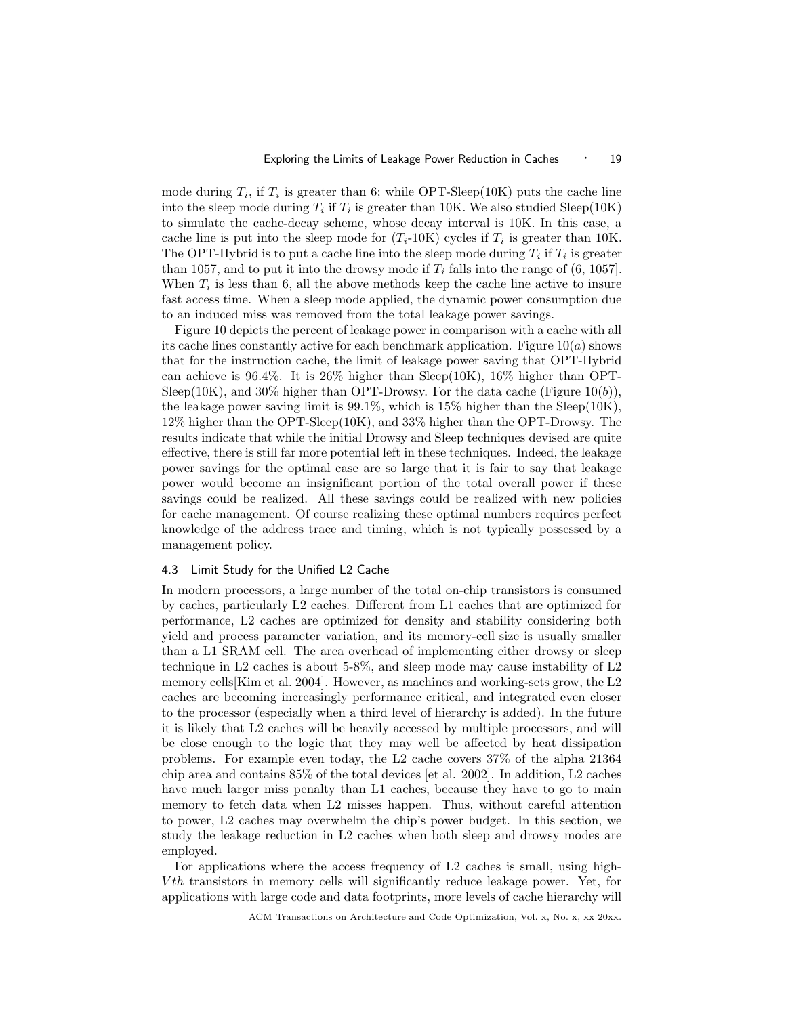mode during  $T_i$ , if  $T_i$  is greater than 6; while OPT-Sleep(10K) puts the cache line into the sleep mode during  $T_i$  if  $T_i$  is greater than 10K. We also studied Sleep(10K) to simulate the cache-decay scheme, whose decay interval is 10K. In this case, a cache line is put into the sleep mode for  $(T_i$ -10K) cycles if  $T_i$  is greater than 10K. The OPT-Hybrid is to put a cache line into the sleep mode during  $T_i$  if  $T_i$  is greater than 1057, and to put it into the drowsy mode if  $T_i$  falls into the range of (6, 1057). When  $T_i$  is less than 6, all the above methods keep the cache line active to insure fast access time. When a sleep mode applied, the dynamic power consumption due to an induced miss was removed from the total leakage power savings.

Figure 10 depicts the percent of leakage power in comparison with a cache with all its cache lines constantly active for each benchmark application. Figure  $10(a)$  shows that for the instruction cache, the limit of leakage power saving that OPT-Hybrid can achieve is  $96.4\%$ . It is  $26\%$  higher than Sleep(10K),  $16\%$  higher than OPT-Sleep(10K), and 30% higher than OPT-Drowsy. For the data cache (Figure 10(b)), the leakage power saving limit is  $99.1\%$ , which is  $15\%$  higher than the Sleep(10K), 12% higher than the OPT-Sleep(10K), and 33% higher than the OPT-Drowsy. The results indicate that while the initial Drowsy and Sleep techniques devised are quite effective, there is still far more potential left in these techniques. Indeed, the leakage power savings for the optimal case are so large that it is fair to say that leakage power would become an insignificant portion of the total overall power if these savings could be realized. All these savings could be realized with new policies for cache management. Of course realizing these optimal numbers requires perfect knowledge of the address trace and timing, which is not typically possessed by a management policy.

## 4.3 Limit Study for the Unified L2 Cache

In modern processors, a large number of the total on-chip transistors is consumed by caches, particularly L2 caches. Different from L1 caches that are optimized for performance, L2 caches are optimized for density and stability considering both yield and process parameter variation, and its memory-cell size is usually smaller than a L1 SRAM cell. The area overhead of implementing either drowsy or sleep technique in L2 caches is about 5-8%, and sleep mode may cause instability of L2 memory cells[Kim et al. 2004]. However, as machines and working-sets grow, the L2 caches are becoming increasingly performance critical, and integrated even closer to the processor (especially when a third level of hierarchy is added). In the future it is likely that L2 caches will be heavily accessed by multiple processors, and will be close enough to the logic that they may well be affected by heat dissipation problems. For example even today, the L2 cache covers 37% of the alpha 21364 chip area and contains 85% of the total devices [et al. 2002]. In addition, L2 caches have much larger miss penalty than L1 caches, because they have to go to main memory to fetch data when L2 misses happen. Thus, without careful attention to power, L2 caches may overwhelm the chip's power budget. In this section, we study the leakage reduction in L2 caches when both sleep and drowsy modes are employed.

For applications where the access frequency of L2 caches is small, using high-V th transistors in memory cells will significantly reduce leakage power. Yet, for applications with large code and data footprints, more levels of cache hierarchy will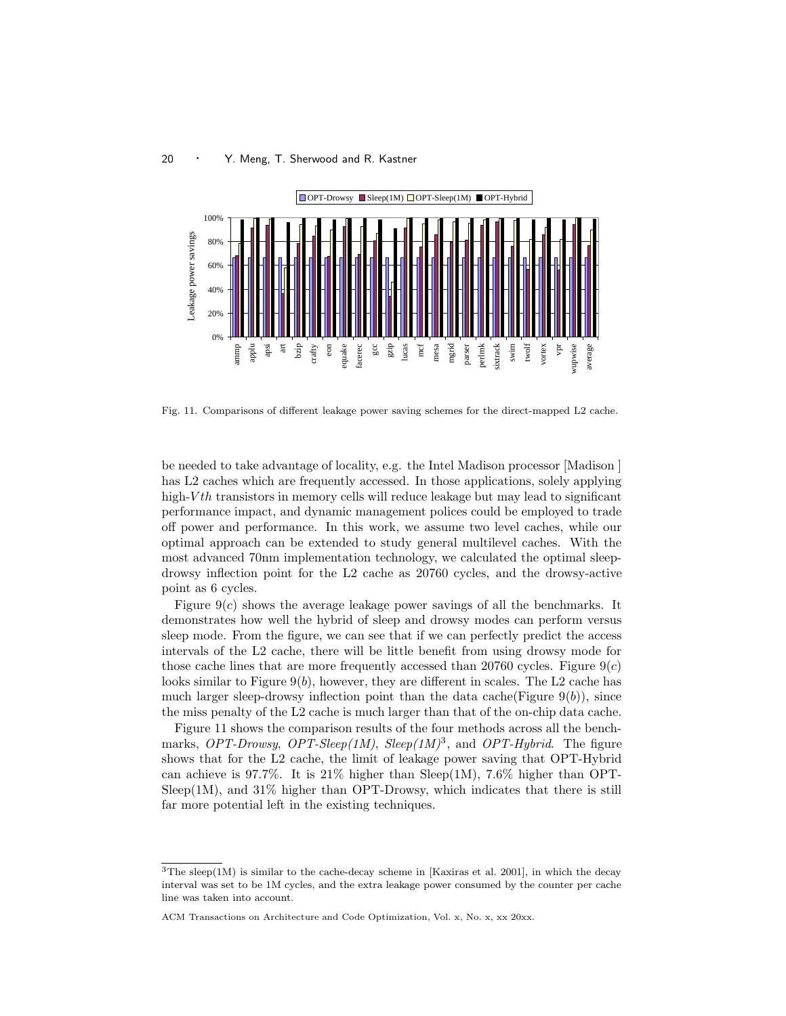

Fig. 11. Comparisons of different leakage power saving schemes for the direct-mapped L2 cache.

be needed to take advantage of locality, e.g. the Intel Madison processor [Madison ] has L2 caches which are frequently accessed. In those applications, solely applying high- $Vth$  transistors in memory cells will reduce leakage but may lead to significant performance impact, and dynamic management polices could be employed to trade off power and performance. In this work, we assume two level caches, while our optimal approach can be extended to study general multilevel caches. With the most advanced 70nm implementation technology, we calculated the optimal sleepdrowsy inflection point for the L2 cache as 20760 cycles, and the drowsy-active point as 6 cycles.

Figure  $9(c)$  shows the average leakage power savings of all the benchmarks. It demonstrates how well the hybrid of sleep and drowsy modes can perform versus sleep mode. From the figure, we can see that if we can perfectly predict the access intervals of the L2 cache, there will be little benefit from using drowsy mode for those cache lines that are more frequently accessed than 20760 cycles. Figure  $9(c)$ looks similar to Figure  $9(b)$ , however, they are different in scales. The L2 cache has much larger sleep-drowsy inflection point than the data cache(Figure  $9(b)$ ), since the miss penalty of the L2 cache is much larger than that of the on-chip data cache.

Figure 11 shows the comparison results of the four methods across all the benchmarks, OPT-Drowsy, OPT-Sleep(1M), Sleep(1M)<sup>3</sup>, and OPT-Hybrid. The figure shows that for the L2 cache, the limit of leakage power saving that OPT-Hybrid can achieve is 97.7%. It is  $21\%$  higher than Sleep(1M), 7.6% higher than OPT- $Sleep(1M)$ , and 31% higher than OPT-Drowsy, which indicates that there is still far more potential left in the existing techniques.

<sup>&</sup>lt;sup>3</sup>The sleep(1M) is similar to the cache-decay scheme in [Kaxiras et al. 2001], in which the decay interval was set to be 1M cycles, and the extra leakage power consumed by the counter per cache line was taken into account.

ACM Transactions on Architecture and Code Optimization, Vol. x, No. x, xx 20xx.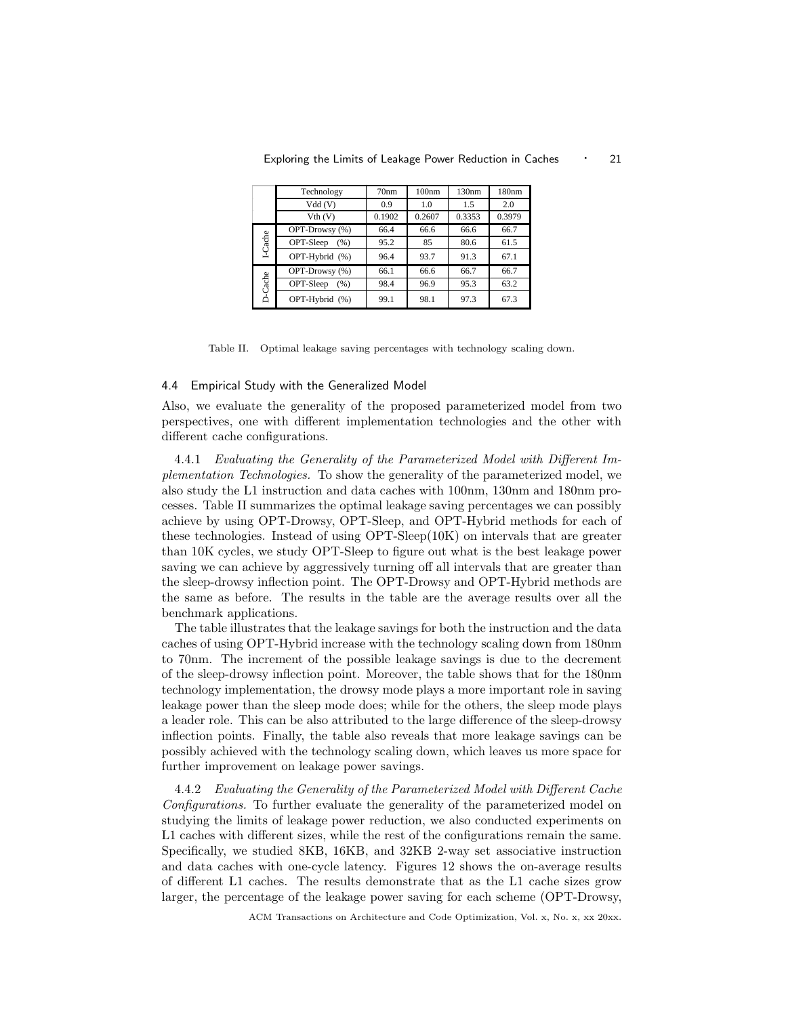|         | Technology        | 70nm   | 100nm  | 130nm  | 180nm  |
|---------|-------------------|--------|--------|--------|--------|
|         | Vdd(V)            | 0.9    | 1.0    | 1.5    | 2.0    |
|         | Vth (V)           | 0.1902 | 0.2607 | 0.3353 | 0.3979 |
| I-Cache | OPT-Drowsy (%)    | 66.4   | 66.6   | 66.6   | 66.7   |
|         | OPT-Sleep<br>(% ) | 95.2   | 85     | 80.6   | 61.5   |
|         | OPT-Hybrid (%)    | 96.4   | 93.7   | 91.3   | 67.1   |
| D-Cache | OPT-Drowsy (%)    | 66.1   | 66.6   | 66.7   | 66.7   |
|         | OPT-Sleep<br>(% ) | 98.4   | 96.9   | 95.3   | 63.2   |
|         | OPT-Hybrid (%)    | 99.1   | 98.1   | 97.3   | 67.3   |

Exploring the Limits of Leakage Power Reduction in Caches  $\cdot$  21

Table II. Optimal leakage saving percentages with technology scaling down.

### 4.4 Empirical Study with the Generalized Model

Also, we evaluate the generality of the proposed parameterized model from two perspectives, one with different implementation technologies and the other with different cache configurations.

4.4.1 Evaluating the Generality of the Parameterized Model with Different Implementation Technologies. To show the generality of the parameterized model, we also study the L1 instruction and data caches with 100nm, 130nm and 180nm processes. Table II summarizes the optimal leakage saving percentages we can possibly achieve by using OPT-Drowsy, OPT-Sleep, and OPT-Hybrid methods for each of these technologies. Instead of using OPT-Sleep(10K) on intervals that are greater than 10K cycles, we study OPT-Sleep to figure out what is the best leakage power saving we can achieve by aggressively turning off all intervals that are greater than the sleep-drowsy inflection point. The OPT-Drowsy and OPT-Hybrid methods are the same as before. The results in the table are the average results over all the benchmark applications.

The table illustrates that the leakage savings for both the instruction and the data caches of using OPT-Hybrid increase with the technology scaling down from 180nm to 70nm. The increment of the possible leakage savings is due to the decrement of the sleep-drowsy inflection point. Moreover, the table shows that for the 180nm technology implementation, the drowsy mode plays a more important role in saving leakage power than the sleep mode does; while for the others, the sleep mode plays a leader role. This can be also attributed to the large difference of the sleep-drowsy inflection points. Finally, the table also reveals that more leakage savings can be possibly achieved with the technology scaling down, which leaves us more space for further improvement on leakage power savings.

4.4.2 Evaluating the Generality of the Parameterized Model with Different Cache Configurations. To further evaluate the generality of the parameterized model on studying the limits of leakage power reduction, we also conducted experiments on L1 caches with different sizes, while the rest of the configurations remain the same. Specifically, we studied 8KB, 16KB, and 32KB 2-way set associative instruction and data caches with one-cycle latency. Figures 12 shows the on-average results of different L1 caches. The results demonstrate that as the L1 cache sizes grow larger, the percentage of the leakage power saving for each scheme (OPT-Drowsy,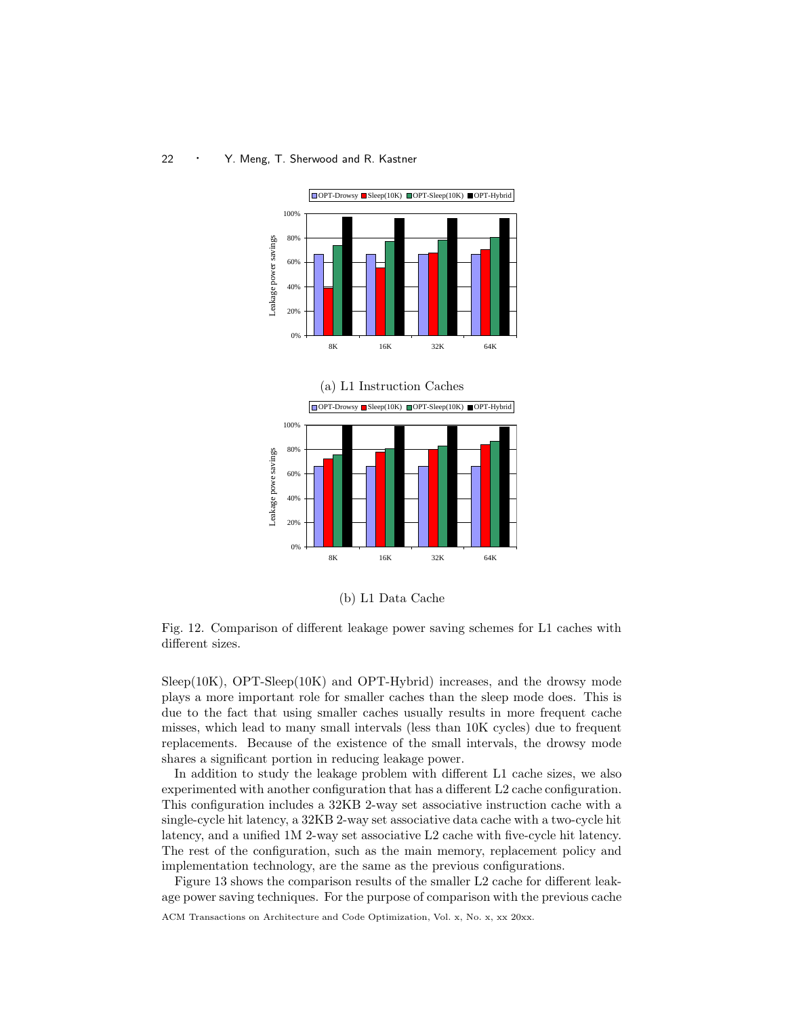



(b) L1 Data Cache

Fig. 12. Comparison of different leakage power saving schemes for L1 caches with different sizes.

Sleep(10K), OPT-Sleep(10K) and OPT-Hybrid) increases, and the drowsy mode plays a more important role for smaller caches than the sleep mode does. This is due to the fact that using smaller caches usually results in more frequent cache misses, which lead to many small intervals (less than 10K cycles) due to frequent replacements. Because of the existence of the small intervals, the drowsy mode shares a significant portion in reducing leakage power.

In addition to study the leakage problem with different L1 cache sizes, we also experimented with another configuration that has a different L2 cache configuration. This configuration includes a 32KB 2-way set associative instruction cache with a single-cycle hit latency, a 32KB 2-way set associative data cache with a two-cycle hit latency, and a unified 1M 2-way set associative L2 cache with five-cycle hit latency. The rest of the configuration, such as the main memory, replacement policy and implementation technology, are the same as the previous configurations.

Figure 13 shows the comparison results of the smaller L2 cache for different leakage power saving techniques. For the purpose of comparison with the previous cache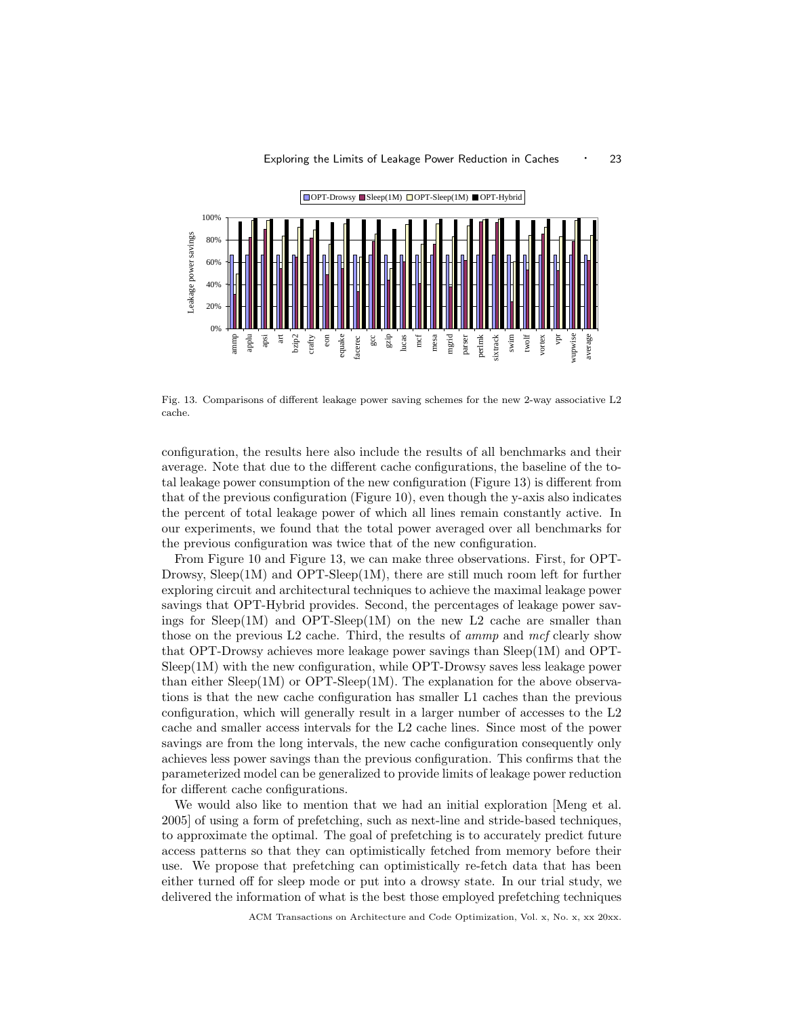

Fig. 13. Comparisons of different leakage power saving schemes for the new 2-way associative L2 cache.

configuration, the results here also include the results of all benchmarks and their average. Note that due to the different cache configurations, the baseline of the total leakage power consumption of the new configuration (Figure 13) is different from that of the previous configuration (Figure 10), even though the y-axis also indicates the percent of total leakage power of which all lines remain constantly active. In our experiments, we found that the total power averaged over all benchmarks for the previous configuration was twice that of the new configuration.

From Figure 10 and Figure 13, we can make three observations. First, for OPT-Drowsy,  $Sleep(1M)$  and OPT- $Sleep(1M)$ , there are still much room left for further exploring circuit and architectural techniques to achieve the maximal leakage power savings that OPT-Hybrid provides. Second, the percentages of leakage power savings for  $Sleep(1M)$  and OPT- $Sleep(1M)$  on the new L2 cache are smaller than those on the previous L2 cache. Third, the results of *ammp* and mcf clearly show that OPT-Drowsy achieves more leakage power savings than Sleep(1M) and OPT-Sleep(1M) with the new configuration, while OPT-Drowsy saves less leakage power than either  $Sleep(1M)$  or OPT-Sleep(1M). The explanation for the above observations is that the new cache configuration has smaller L1 caches than the previous configuration, which will generally result in a larger number of accesses to the L2 cache and smaller access intervals for the L2 cache lines. Since most of the power savings are from the long intervals, the new cache configuration consequently only achieves less power savings than the previous configuration. This confirms that the parameterized model can be generalized to provide limits of leakage power reduction for different cache configurations.

We would also like to mention that we had an initial exploration [Meng et al. 2005] of using a form of prefetching, such as next-line and stride-based techniques, to approximate the optimal. The goal of prefetching is to accurately predict future access patterns so that they can optimistically fetched from memory before their use. We propose that prefetching can optimistically re-fetch data that has been either turned off for sleep mode or put into a drowsy state. In our trial study, we delivered the information of what is the best those employed prefetching techniques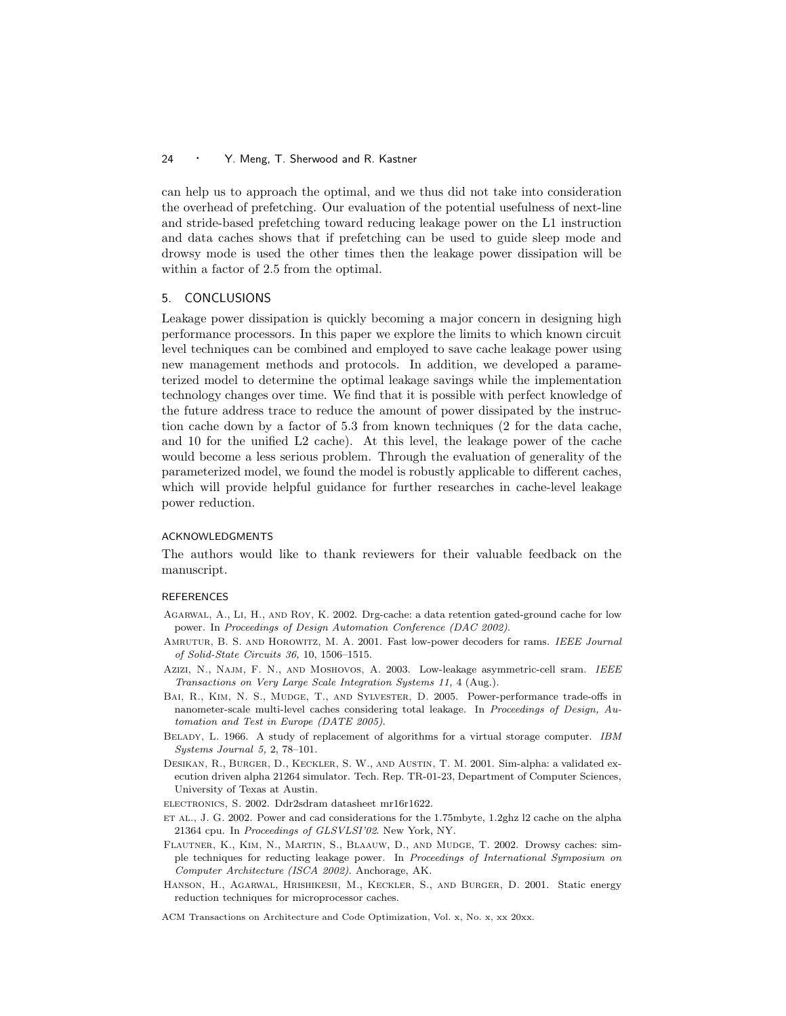can help us to approach the optimal, and we thus did not take into consideration the overhead of prefetching. Our evaluation of the potential usefulness of next-line and stride-based prefetching toward reducing leakage power on the L1 instruction and data caches shows that if prefetching can be used to guide sleep mode and drowsy mode is used the other times then the leakage power dissipation will be within a factor of 2.5 from the optimal.

## 5. CONCLUSIONS

Leakage power dissipation is quickly becoming a major concern in designing high performance processors. In this paper we explore the limits to which known circuit level techniques can be combined and employed to save cache leakage power using new management methods and protocols. In addition, we developed a parameterized model to determine the optimal leakage savings while the implementation technology changes over time. We find that it is possible with perfect knowledge of the future address trace to reduce the amount of power dissipated by the instruction cache down by a factor of 5.3 from known techniques (2 for the data cache, and 10 for the unified L2 cache). At this level, the leakage power of the cache would become a less serious problem. Through the evaluation of generality of the parameterized model, we found the model is robustly applicable to different caches, which will provide helpful guidance for further researches in cache-level leakage power reduction.

#### ACKNOWLEDGMENTS

The authors would like to thank reviewers for their valuable feedback on the manuscript.

## **REFERENCES**

- Agarwal, A., Li, H., and Roy, K. 2002. Drg-cache: a data retention gated-ground cache for low power. In Proceedings of Design Automation Conference (DAC 2002).
- Amrutur, B. S. and Horowitz, M. A. 2001. Fast low-power decoders for rams. IEEE Journal of Solid-State Circuits 36, 10, 1506–1515.
- Azizi, N., Najm, F. N., AND Moshovos, A. 2003. Low-leakage asymmetric-cell sram. IEEE Transactions on Very Large Scale Integration Systems 11, 4 (Aug.).
- Bai, R., Kim, N. S., Mudge, T., and Sylvester, D. 2005. Power-performance trade-offs in nanometer-scale multi-level caches considering total leakage. In Proceedings of Design, Automation and Test in Europe (DATE 2005).
- BELADY, L. 1966. A study of replacement of algorithms for a virtual storage computer. IBM Systems Journal 5, 2, 78–101.
- Desikan, R., Burger, D., Keckler, S. W., and Austin, T. M. 2001. Sim-alpha: a validated execution driven alpha 21264 simulator. Tech. Rep. TR-01-23, Department of Computer Sciences, University of Texas at Austin.
- electronics, S. 2002. Ddr2sdram datasheet mr16r1622.
- et al., J. G. 2002. Power and cad considerations for the 1.75mbyte, 1.2ghz l2 cache on the alpha 21364 cpu. In Proceedings of GLSVLSI'02. New York, NY.
- Flautner, K., Kim, N., Martin, S., Blaauw, D., and Mudge, T. 2002. Drowsy caches: simple techniques for reducting leakage power. In Proceedings of International Symposium on Computer Architecture (ISCA 2002). Anchorage, AK.
- Hanson, H., Agarwal, Hrishikesh, M., Keckler, S., and Burger, D. 2001. Static energy reduction techniques for microprocessor caches.

ACM Transactions on Architecture and Code Optimization, Vol. x, No. x, xx 20xx.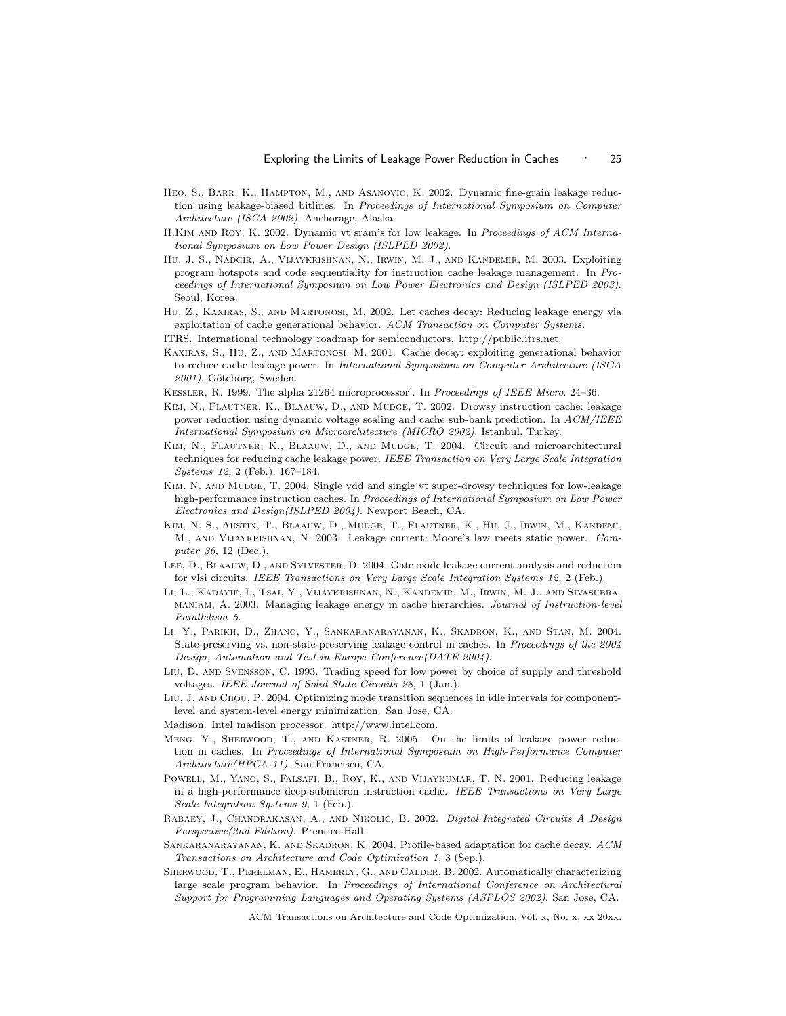- Heo, S., Barr, K., Hampton, M., and Asanovic, K. 2002. Dynamic fine-grain leakage reduction using leakage-biased bitlines. In Proceedings of International Symposium on Computer Architecture (ISCA 2002). Anchorage, Alaska.
- H.Kim and Roy, K. 2002. Dynamic vt sram's for low leakage. In Proceedings of ACM International Symposium on Low Power Design (ISLPED 2002).
- Hu, J. S., Nadgir, A., Vijaykrishnan, N., Irwin, M. J., and Kandemir, M. 2003. Exploiting program hotspots and code sequentiality for instruction cache leakage management. In Proceedings of International Symposium on Low Power Electronics and Design (ISLPED 2003). Seoul, Korea.
- Hu, Z., Kaxiras, S., and Martonosi, M. 2002. Let caches decay: Reducing leakage energy via exploitation of cache generational behavior. ACM Transaction on Computer Systems.
- ITRS. International technology roadmap for semiconductors. http://public.itrs.net.
- Kaxiras, S., Hu, Z., and Martonosi, M. 2001. Cache decay: exploiting generational behavior to reduce cache leakage power. In International Symposium on Computer Architecture (ISCA 2001). Gőteborg, Sweden.
- Kessler, R. 1999. The alpha 21264 microprocessor'. In Proceedings of IEEE Micro. 24–36.
- Kim, N., Flautner, K., Blaauw, D., and Mudge, T. 2002. Drowsy instruction cache: leakage power reduction using dynamic voltage scaling and cache sub-bank prediction. In ACM/IEEE International Symposium on Microarchitecture (MICRO 2002). Istanbul, Turkey.
- Kim, N., Flautner, K., Blaauw, D., and Mudge, T. 2004. Circuit and microarchitectural techniques for reducing cache leakage power. IEEE Transaction on Very Large Scale Integration Systems 12, 2 (Feb.), 167–184.
- Kim, N. and Mudge, T. 2004. Single vdd and single vt super-drowsy techniques for low-leakage high-performance instruction caches. In Proceedings of International Symposium on Low Power Electronics and Design(ISLPED 2004). Newport Beach, CA.
- Kim, N. S., Austin, T., Blaauw, D., Mudge, T., Flautner, K., Hu, J., Irwin, M., Kandemi, M., and Vijaykrishnan, N. 2003. Leakage current: Moore's law meets static power. Computer 36, 12 (Dec.).
- Lee, D., Blaauw, D., and Sylvester, D. 2004. Gate oxide leakage current analysis and reduction for vlsi circuits. IEEE Transactions on Very Large Scale Integration Systems 12, 2 (Feb.).
- Li, L., Kadayif, I., Tsai, Y., Vijaykrishnan, N., Kandemir, M., Irwin, M. J., and Sivasubramaniam, A. 2003. Managing leakage energy in cache hierarchies. Journal of Instruction-level Parallelism 5.
- Li, Y., Parikh, D., Zhang, Y., Sankaranarayanan, K., Skadron, K., and Stan, M. 2004. State-preserving vs. non-state-preserving leakage control in caches. In Proceedings of the 2004 Design, Automation and Test in Europe Conference(DATE 2004).
- Liu, D. and Svensson, C. 1993. Trading speed for low power by choice of supply and threshold voltages. IEEE Journal of Solid State Circuits 28, 1 (Jan.).
- LIU, J. AND CHOU, P. 2004. Optimizing mode transition sequences in idle intervals for componentlevel and system-level energy minimization. San Jose, CA.
- Madison. Intel madison processor. http://www.intel.com.
- Meng, Y., Sherwood, T., and Kastner, R. 2005. On the limits of leakage power reduction in caches. In Proceedings of International Symposium on High-Performance Computer Architecture(HPCA-11). San Francisco, CA.
- Powell, M., Yang, S., Falsafi, B., Roy, K., and Vijaykumar, T. N. 2001. Reducing leakage in a high-performance deep-submicron instruction cache. IEEE Transactions on Very Large Scale Integration Systems 9, 1 (Feb.).
- Rabaey, J., Chandrakasan, A., and Nikolic, B. 2002. Digital Integrated Circuits A Design Perspective(2nd Edition). Prentice-Hall.
- SANKARANARAYANAN, K. AND SKADRON, K. 2004. Profile-based adaptation for cache decay. ACM Transactions on Architecture and Code Optimization 1, 3 (Sep.).
- SHERWOOD, T., PERELMAN, E., HAMERLY, G., AND CALDER, B. 2002. Automatically characterizing large scale program behavior. In Proceedings of International Conference on Architectural Support for Programming Languages and Operating Systems (ASPLOS 2002). San Jose, CA.